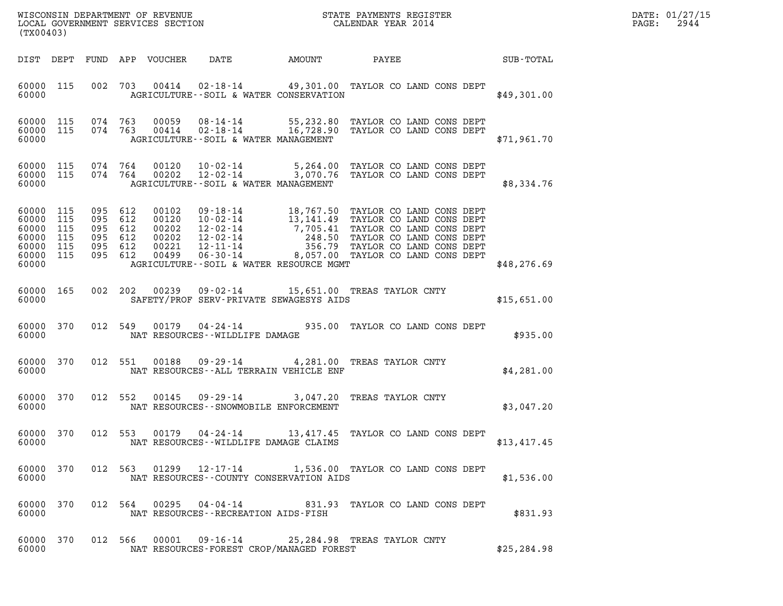| (TX00403)                                                       |                                 |                                                                |  |                                                    |                                                  |        |                                                                                                                                                                                                                                                      |  |              | DATE: 01/27/15<br>2944<br>$\mathtt{PAGE}$ : |
|-----------------------------------------------------------------|---------------------------------|----------------------------------------------------------------|--|----------------------------------------------------|--------------------------------------------------|--------|------------------------------------------------------------------------------------------------------------------------------------------------------------------------------------------------------------------------------------------------------|--|--------------|---------------------------------------------|
| DIST DEPT                                                       |                                 |                                                                |  | FUND APP VOUCHER                                   | DATE                                             | AMOUNT | PAYEE                                                                                                                                                                                                                                                |  | SUB-TOTAL    |                                             |
| 60000 115<br>60000                                              |                                 |                                                                |  |                                                    | AGRICULTURE -- SOIL & WATER CONSERVATION         |        | 002 703 00414 02-18-14 49,301.00 TAYLOR CO LAND CONS DEPT                                                                                                                                                                                            |  | \$49,301.00  |                                             |
| 60000 115 074 763<br>60000 115<br>60000                         |                                 | 074 763                                                        |  |                                                    | AGRICULTURE--SOIL & WATER MANAGEMENT             |        | 00059  08-14-14  55,232.80 TAYLOR CO LAND CONS DEPT  00414  02-18-14   16,728.90 TAYLOR CO LAND CONS DEPT                                                                                                                                            |  | \$71,961.70  |                                             |
| 60000 115<br>60000 115<br>60000                                 |                                 | 074 764<br>074 764                                             |  | 00120<br>00202                                     | AGRICULTURE--SOIL & WATER MANAGEMENT             |        | 10-02-14 5,264.00 TAYLOR CO LAND CONS DEPT<br>12-02-14 3,070.76 TAYLOR CO LAND CONS DEPT                                                                                                                                                             |  | \$8,334.76   |                                             |
| 60000 115<br>60000<br>60000<br>60000<br>60000<br>60000<br>60000 | 115<br>115<br>115<br>115<br>115 | 095 612<br>095 612<br>095 612<br>095 612<br>095 612<br>095 612 |  | 00102<br>00120<br>00202<br>00202<br>00221<br>00499 | AGRICULTURE -- SOIL & WATER RESOURCE MGMT        |        | 09-18-14<br>10-02-14<br>13,141.49 TAYLOR CO LAND CONS DEPT<br>12-02-14<br>13,141.49 TAYLOR CO LAND CONS DEPT<br>12-02-14<br>248.50 TAYLOR CO LAND CONS DEPT<br>12-11-14<br>06-30-14<br>8,057.00 TAYLOR CO LAND CONS DEPT<br>06-30-14<br>8,057.00 TAY |  | \$48, 276.69 |                                             |
| 60000 165<br>60000                                              |                                 | 002 202                                                        |  | 00239                                              | SAFETY/PROF SERV-PRIVATE SEWAGESYS AIDS          |        | 09-02-14 15,651.00 TREAS TAYLOR CNTY                                                                                                                                                                                                                 |  | \$15,651.00  |                                             |
| 60000 370<br>60000                                              |                                 | 012 549                                                        |  | 00179                                              | $04 - 24 - 14$<br>NAT RESOURCES--WILDLIFE DAMAGE |        | 935.00 TAYLOR CO LAND CONS DEPT                                                                                                                                                                                                                      |  | \$935.00     |                                             |
| 60000 370<br>60000                                              |                                 | 012 551                                                        |  | 00188                                              | NAT RESOURCES -- ALL TERRAIN VEHICLE ENF         |        | 09-29-14 4,281.00 TREAS TAYLOR CNTY                                                                                                                                                                                                                  |  | \$4,281.00   |                                             |
| 60000 370<br>60000                                              |                                 | 012 552                                                        |  | 00145                                              | NAT RESOURCES - - SNOWMOBILE ENFORCEMENT         |        | 09-29-14 3,047.20 TREAS TAYLOR CNTY                                                                                                                                                                                                                  |  | \$3,047.20   |                                             |
| 60000 370<br>60000                                              |                                 |                                                                |  |                                                    | NAT RESOURCES--WILDLIFE DAMAGE CLAIMS            |        | 012 553 00179 04-24-14 13,417.45 TAYLOR CO LAND CONS DEPT                                                                                                                                                                                            |  | \$13,417.45  |                                             |
| 60000 370<br>60000                                              |                                 |                                                                |  |                                                    | NAT RESOURCES - COUNTY CONSERVATION AIDS         |        | 012 563 01299 12-17-14 1,536.00 TAYLOR CO LAND CONS DEPT                                                                                                                                                                                             |  | \$1,536.00   |                                             |
| 60000 370<br>60000                                              |                                 |                                                                |  |                                                    | NAT RESOURCES - - RECREATION AIDS - FISH         |        | 012 564 00295 04-04-14 831.93 TAYLOR CO LAND CONS DEPT                                                                                                                                                                                               |  | \$831.93     |                                             |
| 60000 370<br>60000                                              |                                 |                                                                |  |                                                    | NAT RESOURCES-FOREST CROP/MANAGED FOREST         |        | 012 566 00001 09-16-14 25,284.98 TREAS TAYLOR CNTY                                                                                                                                                                                                   |  | \$25, 284.98 |                                             |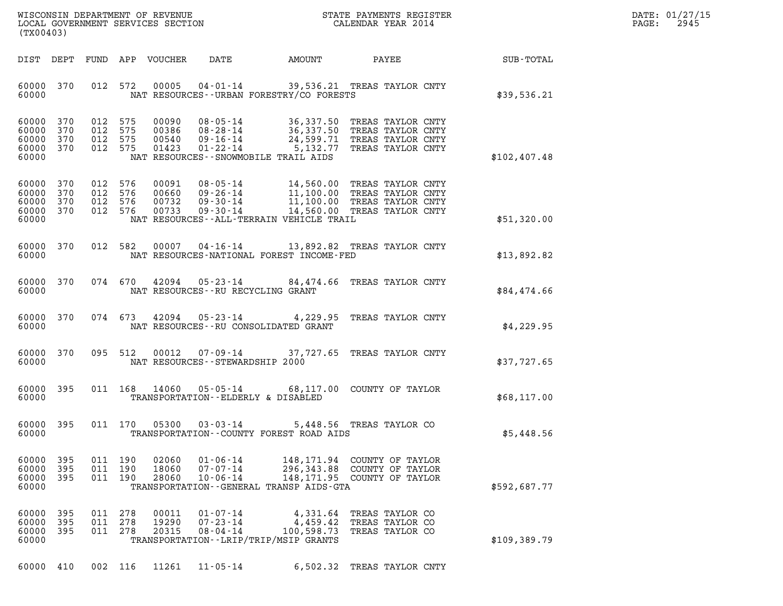| WISCONSIN DEPARTMENT OF REVENUE   | STATE PAYMENTS REGISTER | DATE: 01/27/15 |
|-----------------------------------|-------------------------|----------------|
| LOCAL GOVERNMENT SERVICES SECTION | CALENDAR YEAR 2014      | 2945<br>PAGE:  |

| (TX00403)                                                                                                                                    |                                                                                                                                                                                                          |                                                          |              | DATE: 01/27/15<br>$\mathtt{PAGE}$ :<br>2945 |
|----------------------------------------------------------------------------------------------------------------------------------------------|----------------------------------------------------------------------------------------------------------------------------------------------------------------------------------------------------------|----------------------------------------------------------|--------------|---------------------------------------------|
| FUND APP VOUCHER<br>DIST DEPT                                                                                                                | DATE AMOUNT PAYEE SUB-TOTAL                                                                                                                                                                              |                                                          |              |                                             |
| 60000 370<br>012 572<br>00005<br>60000                                                                                                       | 04-01-14 39,536.21 TREAS TAYLOR CNTY<br>NAT RESOURCES--URBAN FORESTRY/CO FORESTS                                                                                                                         |                                                          | \$39,536.21  |                                             |
| 60000 370<br>012 575<br>00090<br>60000 370<br>012 575<br>00386<br>60000 370<br>012 575<br>00540<br>60000 370<br>012 575<br>01423<br>60000    | 08-05-14 36,337.50 TREAS TAYLOR CNTY<br>08-28-14 36,337.50 TREAS TAYLOR CNTY<br>09-16-14 24,599.71 TREAS TAYLOR CNTY<br>01-22-14 5,132.77 TREAS TAYLOR CNTY<br>NAT RESOURCES--SNOWMOBILE TRAIL AIDS      |                                                          | \$102,407.48 |                                             |
| 60000 370<br>012 576<br>00091<br>60000<br>370<br>012 576<br>00660<br>60000 370<br>012 576<br>00732<br>60000 370<br>012 576<br>00733<br>60000 | 08-05-14 14,560.00 TREAS TAYLOR CNTY<br>09-26-14 11,100.00 TREAS TAYLOR CNTY<br>09-30-14 11,100.00 TREAS TAYLOR CNTY<br>09-30-14 14,560.00 TREAS TAYLOR CNTY<br>NAT RESOURCES--ALL-TERRAIN VEHICLE TRAIL |                                                          | \$51,320.00  |                                             |
| 60000 370<br>60000                                                                                                                           | 012 582 00007 04-16-14 13,892.82 TREAS TAYLOR CNTY<br>NAT RESOURCES-NATIONAL FOREST INCOME-FED                                                                                                           |                                                          | \$13,892.82  |                                             |
| 60000 370<br>60000                                                                                                                           | 074 670 42094 05-23-14 84,474.66 TREAS TAYLOR CNTY<br>NAT RESOURCES--RU RECYCLING GRANT                                                                                                                  |                                                          | \$84,474.66  |                                             |
| 60000 370<br>60000                                                                                                                           | 074 673 42094 05-23-14 4,229.95 TREAS TAYLOR CNTY<br>NAT RESOURCES--RU CONSOLIDATED GRANT                                                                                                                |                                                          | \$4,229.95   |                                             |
| 60000 370<br>095 512<br>60000                                                                                                                | 00012  07-09-14  37, 727.65  TREAS TAYLOR CNTY<br>NAT RESOURCES--STEWARDSHIP 2000                                                                                                                        |                                                          | \$37,727.65  |                                             |
| 60000 395<br>60000                                                                                                                           | 011 168 14060 05-05-14 68,117.00 COUNTY OF TAYLOR<br>TRANSPORTATION--ELDERLY & DISABLED                                                                                                                  |                                                          | \$68,117.00  |                                             |
| 60000 395<br>60000                                                                                                                           | 011 170 05300 03-03-14<br>TRANSPORTATION -- COUNTY FOREST ROAD AIDS                                                                                                                                      | 5,448.56 TREAS TAYLOR CO                                 | \$5,448.56   |                                             |
| 60000<br>395<br>011<br>190<br>02060<br>60000<br>395<br>011<br>190<br>18060<br>60000<br>395<br>011<br>190<br>28060<br>60000                   | $01 - 06 - 14$<br>148,171.94<br>$07 - 07 - 14$<br>296,343.88<br>$10 - 06 - 14$<br>148,171.95<br>TRANSPORTATION - - GENERAL TRANSP AIDS - GTA                                                             | COUNTY OF TAYLOR<br>COUNTY OF TAYLOR<br>COUNTY OF TAYLOR | \$592,687.77 |                                             |
| 60000<br>395<br>011<br>278<br>00011<br>60000<br>395<br>011<br>278<br>19290<br>60000<br>395<br>278<br>20315<br>011<br>60000                   | $01 - 07 - 14$<br>4,331.64<br>$07 - 23 - 14$<br>4,459.42<br>$08 - 04 - 14$<br>100,598.73<br>TRANSPORTATION - - LRIP/TRIP/MSIP GRANTS                                                                     | TREAS TAYLOR CO<br>TREAS TAYLOR CO<br>TREAS TAYLOR CO    | \$109,389.79 |                                             |

60000 410 002 116 11261 11-05-14 6,502.32 TREAS TAYLOR CNTY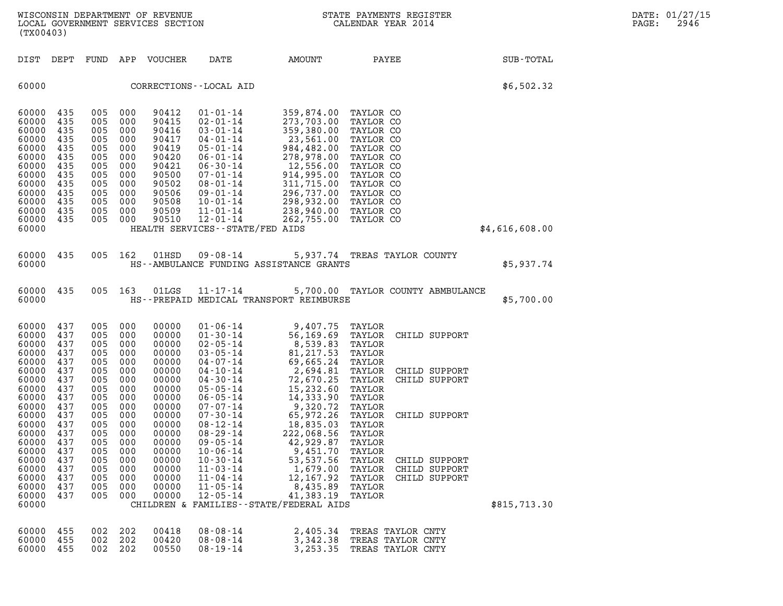| (TX00403)                                                                                                                  |                                                                                         |                                                                                         |                                                                                         | WISCONSIN DEPARTMENT OF REVENUE<br>LOCAL GOVERNMENT SERVICES SECTION                                              |                                                                                                                                                                                                                                         | NC<br>NGC 11                                                                                                                                                                     | STATE PAYMENTS REGISTER<br>CALENDAR YEAR 2014                                                                                                                         |                | DATE: 01/27/15<br>PAGE:<br>2946 |
|----------------------------------------------------------------------------------------------------------------------------|-----------------------------------------------------------------------------------------|-----------------------------------------------------------------------------------------|-----------------------------------------------------------------------------------------|-------------------------------------------------------------------------------------------------------------------|-----------------------------------------------------------------------------------------------------------------------------------------------------------------------------------------------------------------------------------------|----------------------------------------------------------------------------------------------------------------------------------------------------------------------------------|-----------------------------------------------------------------------------------------------------------------------------------------------------------------------|----------------|---------------------------------|
| DIST DEPT                                                                                                                  |                                                                                         | FUND                                                                                    |                                                                                         | APP VOUCHER                                                                                                       | DATE                                                                                                                                                                                                                                    | AMOUNT                                                                                                                                                                           | PAYEE                                                                                                                                                                 | SUB-TOTAL      |                                 |
| 60000                                                                                                                      |                                                                                         |                                                                                         |                                                                                         |                                                                                                                   | CORRECTIONS - - LOCAL AID                                                                                                                                                                                                               |                                                                                                                                                                                  |                                                                                                                                                                       | \$6,502.32     |                                 |
| 60000<br>60000<br>60000<br>60000<br>60000<br>60000<br>60000<br>60000<br>60000<br>60000<br>60000<br>60000<br>60000<br>60000 | 435<br>435<br>435<br>435<br>435<br>435<br>435<br>435<br>435<br>435<br>435<br>435<br>435 | 005<br>005<br>005<br>005<br>005<br>005<br>005<br>005<br>005<br>005<br>005<br>005<br>005 | 000<br>000<br>000<br>000<br>000<br>000<br>000<br>000<br>000<br>000<br>000<br>000<br>000 | 90412<br>90415<br>90416<br>90417<br>90419<br>90420<br>90421<br>90500<br>90502<br>90506<br>90508<br>90509<br>90510 | $01 - 01 - 14$<br>$02 - 01 - 14$<br>$03 - 01 - 14$<br>04-01-14<br>$05 - 01 - 14$<br>06-01-14<br>$06 - 30 - 14$<br>07-01-14<br>08-01-14<br>09-01-14<br>10-01-14<br>$11 - 01 - 14$<br>$12 - 01 - 14$<br>HEALTH SERVICES -- STATE/FED AIDS | 359,874.00<br>273,703.00<br>359,380.00<br>23,561.00<br>984,482.00<br>278,978.00<br>12,556.00<br>914,995.00<br>311,715.00<br>296,737.00<br>298,932.00<br>238,940.00<br>262,755.00 | TAYLOR CO<br>TAYLOR CO<br>TAYLOR CO<br>TAYLOR CO<br>TAYLOR CO<br>TAYLOR CO<br>TAYLOR CO<br>TAYLOR CO<br>TAYLOR CO<br>TAYLOR CO<br>TAYLOR CO<br>TAYLOR CO<br>TAYLOR CO | \$4,616,608.00 |                                 |
|                                                                                                                            |                                                                                         |                                                                                         |                                                                                         |                                                                                                                   |                                                                                                                                                                                                                                         |                                                                                                                                                                                  |                                                                                                                                                                       |                |                                 |
| 60000 435<br>60000                                                                                                         |                                                                                         | 005                                                                                     | 162                                                                                     | 01HSD                                                                                                             | 09-08-14                                                                                                                                                                                                                                | HS--AMBULANCE FUNDING ASSISTANCE GRANTS                                                                                                                                          | 5,937.74 TREAS TAYLOR COUNTY                                                                                                                                          | \$5,937.74     |                                 |
| 60000 435<br>60000                                                                                                         |                                                                                         | 005 163                                                                                 |                                                                                         | 01LGS                                                                                                             | 11-17-14                                                                                                                                                                                                                                | HS--PREPAID MEDICAL TRANSPORT REIMBURSE                                                                                                                                          | 5,700.00 TAYLOR COUNTY ABMBULANCE                                                                                                                                     | \$5,700.00     |                                 |
| 60000<br>60000<br>60000<br>60000<br>60000<br>60000<br>60000<br>60000<br>60000                                              | 437<br>437<br>437<br>437<br>437<br>437<br>437<br>437<br>437                             | 005<br>005<br>005<br>005<br>005<br>005<br>005<br>005<br>005                             | 000<br>000<br>000<br>000<br>000<br>000<br>000<br>000<br>000                             | 00000<br>00000<br>00000<br>00000<br>00000<br>00000<br>00000<br>00000<br>00000                                     | $01 - 06 - 14$<br>$01 - 30 - 14$<br>$02 - 05 - 14$<br>$03 - 05 - 14$<br>$04 - 07 - 14$<br>$04 - 10 - 14$<br>$04 - 30 - 14$<br>$05 - 05 - 14$<br>$06 - 05 - 14$                                                                          | 9,407.75<br>56,169.69<br>8,539.83<br>81,217.53<br>69,665.24<br>2,694.81<br>72,670.25<br>15,232.60<br>14,333.90                                                                   | TAYLOR<br>TAYLOR<br>CHILD SUPPORT<br>TAYLOR<br>TAYLOR<br>TAYLOR<br>TAYLOR<br>CHILD SUPPORT<br>TAYLOR<br>CHILD SUPPORT<br>TAYLOR<br>TAYLOR                             |                |                                 |
| 60000<br>60000<br>60000 437<br>60000<br>60000<br>60000                                                                     | 437<br>437<br>437<br>437<br>437                                                         | 005<br>005<br>005<br>005<br>005<br>005                                                  | 000<br>000<br>000<br>000<br>000<br>000                                                  | 00000<br>00000<br>00000<br>00000<br>00000<br>00000                                                                | 07-07-14<br>$07 - 30 - 14$<br>$08 - 12 - 14$<br>$08 - 29 - 14$<br>$09 - 05 - 14$<br>$10 - 06 - 14$                                                                                                                                      | 9,320.72<br>65,972.26<br>18,835.03<br>222,068.56<br>42,929.87<br>9,451.70                                                                                                        | TAYLOR<br>TAYLOR<br>CHILD SUPPORT<br>TAYLOR<br>TAYLOR<br>TAYLOR<br>TAYLOR                                                                                             |                |                                 |
| 60000<br>60000<br>60000<br>60000<br>60000<br>60000                                                                         | 437<br>437<br>437<br>437<br>437                                                         | 005<br>005<br>005<br>005<br>005                                                         | 000<br>000<br>000<br>000<br>000                                                         | 00000<br>00000<br>00000<br>00000<br>00000                                                                         | $10 - 30 - 14$<br>$11 - 03 - 14$<br>$11 - 04 - 14$<br>$11 - 05 - 14$<br>$12 - 05 - 14$                                                                                                                                                  | 53,537.56<br>1,679.00<br>12,167.92<br>8,435.89<br>41,383.19<br>CHILDREN & FAMILIES - - STATE/FEDERAL AIDS                                                                        | TAYLOR<br>CHILD SUPPORT<br>TAYLOR<br>CHILD SUPPORT<br>TAYLOR<br>CHILD SUPPORT<br>TAYLOR<br>TAYLOR                                                                     | \$815,713.30   |                                 |
| 60000<br>60000<br>60000 455                                                                                                | 455<br>455                                                                              | 002<br>002<br>002                                                                       | 202<br>202<br>202                                                                       | 00418<br>00420<br>00550                                                                                           | $08 - 08 - 14$<br>$08 - 08 - 14$<br>$08 - 19 - 14$                                                                                                                                                                                      | 2,405.34<br>3,342.38<br>3,253.35                                                                                                                                                 | TREAS TAYLOR CNTY<br>TREAS TAYLOR CNTY<br>TREAS TAYLOR CNTY                                                                                                           |                |                                 |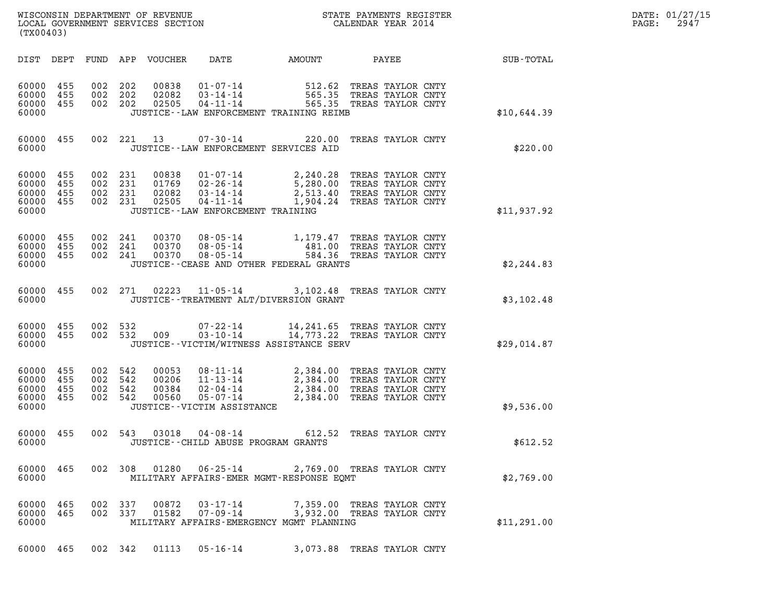| WISCONSIN DEPARTMENT OF REVENUE<br>LOCAL GOVERNMENT SERVICES SECTION | STATE PAYMENTS REGISTER<br>CALENDAR YEAR 2014 | DATE: 01/27/15<br>2947<br>PAGE: |
|----------------------------------------------------------------------|-----------------------------------------------|---------------------------------|

| (TX00403)                                                 |                    |                               |         |       |                                      | WISCONSIN DEPARTMENT OF REVENUE<br>LOCAL GOVERNMENT SERVICES SECTION<br>(TIME OF SERVICES SECTION CALENDAR YEAR 2014                                                                                                            |  |                                                    | DATE: 01/27/15<br>PAGE: 2947 |
|-----------------------------------------------------------|--------------------|-------------------------------|---------|-------|--------------------------------------|---------------------------------------------------------------------------------------------------------------------------------------------------------------------------------------------------------------------------------|--|----------------------------------------------------|------------------------------|
|                                                           |                    |                               |         |       |                                      |                                                                                                                                                                                                                                 |  | DIST DEPT FUND APP VOUCHER DATE AMOUNT PAYEE TOTAL |                              |
| 60000 455<br>60000 455<br>60000 455<br>60000              |                    | 002 202<br>002 202<br>002 202 |         |       |                                      | 00838   01-07-14   512.62 TREAS TAYLOR CNTY<br>02082   03-14-14   565.35 TREAS TAYLOR CNTY<br>02505   04-11-14   565.35 TREAS TAYLOR CNTY<br>JUSTICE -- LAW ENFORCEMENT TRAINING REIMB                                          |  | \$10,644.39                                        |                              |
|                                                           | 60000 455<br>60000 |                               |         |       |                                      | 002 221 13 07-30-14 220.00 TREAS TAYLOR CNTY<br>JUSTICE -- LAW ENFORCEMENT SERVICES AID                                                                                                                                         |  | \$220.00                                           |                              |
| 60000 455<br>60000 455<br>60000 455<br>60000 455<br>60000 |                    | 002 231<br>002 231<br>002 231 | 002 231 |       | JUSTICE - - LAW ENFORCEMENT TRAINING | 00838  01-07-14  2,240.28 TREAS TAYLOR CNTY<br>01769  02-26-14  5,280.00 TREAS TAYLOR CNTY<br>02082  03-14-14  2,513.40 TREAS TAYLOR CNTY<br>02505  04-11-14  1,904.24 TREAS TAYLOR CNTY                                        |  | \$11,937.92                                        |                              |
| 60000 455<br>60000 455<br>60000                           | 60000 455          | 002 241<br>002 241            | 002 241 |       |                                      | 00370  08-05-14   1,179.47   TREAS TAYLOR CNTY<br>00370  08-05-14   481.00   TREAS TAYLOR CNTY<br>00370  08-05-14   584.36   TREAS TAYLOR CNTY<br>JUSTICE -- CEASE AND OTHER FEDERAL GRANTS                                     |  | \$2, 244.83                                        |                              |
|                                                           |                    |                               |         |       |                                      | 60000 455 002 271 02223 11-05-14 3,102.48 TREAS TAYLOR CNTY<br>JUSTICE--TREATMENT ALT/DIVERSION GRANT                                                                                                                           |  | \$3,102.48                                         |                              |
| 60000                                                     |                    |                               |         |       |                                      | $\begin{array}{cccc} 60000& 455& 002& 532& 07-22-14& 14,241.65 & \text{TREAS TAYLOR CNTY}\\ 60000& 455& 002& 532& 009& 03-10-14& 14,773.22 & \text{TREAS TAYLOR CNTY} \end{array}$<br>JUSTICE -- VICTIM/WITNESS ASSISTANCE SERV |  | \$29,014.87                                        |                              |
| 60000 455<br>60000 455<br>60000 455<br>60000              | 60000 455          | 002 542<br>002 542<br>002 542 | 002 542 |       | JUSTICE - - VICTIM ASSISTANCE        | 00053  08-11-14  2,384.00  TREAS TAYLOR CNTY<br>00206  11-13-14  2,384.00  TREAS TAYLOR CNTY<br>00384  02-04-14  2,384.00  TREAS TAYLOR CNTY<br>00560  05-07-14  2,384.00  TREAS TAYLOR CNTY                                    |  | \$9,536.00                                         |                              |
| 60000                                                     |                    |                               |         |       |                                      | 60000 455 002 543 03018 04-08-14 612.52 TREAS TAYLOR CNTY<br>JUSTICE -- CHILD ABUSE PROGRAM GRANTS                                                                                                                              |  | \$612.52                                           |                              |
| 60000                                                     | 60000 465          |                               |         |       |                                      | 002 308 01280 06-25-14 2,769.00 TREAS TAYLOR CNTY<br>MILITARY AFFAIRS-EMER MGMT-RESPONSE EOMT                                                                                                                                   |  | \$2,769.00                                         |                              |
| 60000 465<br>60000 465<br>60000                           |                    | 002 337                       | 002 337 |       |                                      | 00872  03-17-14  7,359.00 TREAS TAYLOR CNTY<br>01582  07-09-14  3,932.00 TREAS TAYLOR CNTY<br>MILITARY AFFAIRS-EMERGENCY MGMT PLANNING                                                                                          |  | \$11,291.00                                        |                              |
| 60000 465                                                 |                    | 002 342                       |         | 01113 | $05 - 16 - 14$                       | 3,073.88 TREAS TAYLOR CNTY                                                                                                                                                                                                      |  |                                                    |                              |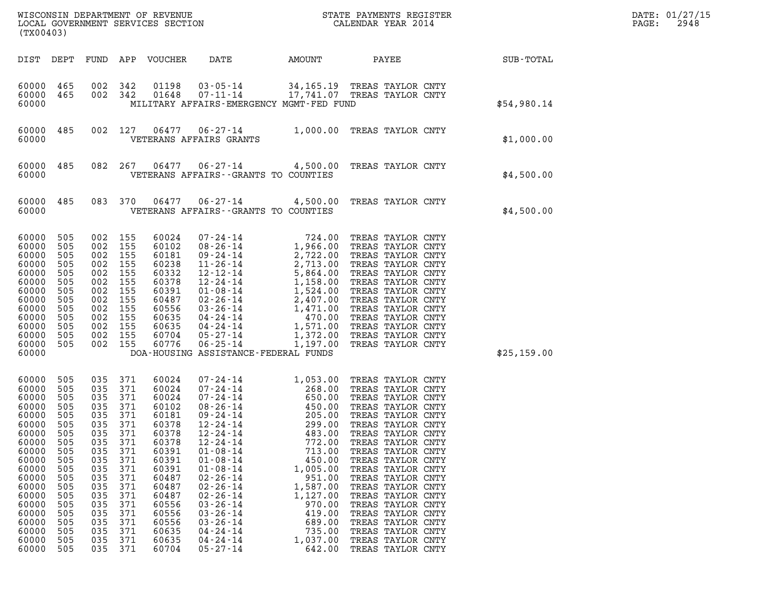| (TX00403)                                                                                                                                                                        |                                                                                                                                          |                                                                                                                                          |                                                                                                                                          |                                                                                                                                                                                  |                                                                                                                                                                                                                                                                                                                                                                |                                        | ${\tt WISCONSIM\ DEPARTMENT\ OF\ REVENUE}\qquad \qquad {\tt STATE\ PAYMENTS\ REGISTER} \\ {\tt LOCAL\ GOVERNMENT\ SERVICES\ SECTION}\qquad \qquad {\tt CALENDAR\ YEAR\ 2014}$                                  |                                                                                                                                                                                                                                                                                                                                                                                                                                  |  |             | DATE: 01/27/15<br>2948<br>PAGE: |
|----------------------------------------------------------------------------------------------------------------------------------------------------------------------------------|------------------------------------------------------------------------------------------------------------------------------------------|------------------------------------------------------------------------------------------------------------------------------------------|------------------------------------------------------------------------------------------------------------------------------------------|----------------------------------------------------------------------------------------------------------------------------------------------------------------------------------|----------------------------------------------------------------------------------------------------------------------------------------------------------------------------------------------------------------------------------------------------------------------------------------------------------------------------------------------------------------|----------------------------------------|----------------------------------------------------------------------------------------------------------------------------------------------------------------------------------------------------------------|----------------------------------------------------------------------------------------------------------------------------------------------------------------------------------------------------------------------------------------------------------------------------------------------------------------------------------------------------------------------------------------------------------------------------------|--|-------------|---------------------------------|
| DIST DEPT                                                                                                                                                                        |                                                                                                                                          |                                                                                                                                          |                                                                                                                                          | FUND APP VOUCHER                                                                                                                                                                 | DATE                                                                                                                                                                                                                                                                                                                                                           | AMOUNT                                 |                                                                                                                                                                                                                | PAYEE                                                                                                                                                                                                                                                                                                                                                                                                                            |  | SUB-TOTAL   |                                 |
| 60000<br>60000<br>60000                                                                                                                                                          | 465<br>465                                                                                                                               | 002<br>002 342                                                                                                                           | 342                                                                                                                                      | 01198<br>01648                                                                                                                                                                   | $03 - 05 - 14$<br>$07 - 11 - 14$                                                                                                                                                                                                                                                                                                                               |                                        | 34,165.19 TREAS TAYLOR CNTY<br>17,741.07 TREAS TAYLOR CNTY<br>MILITARY AFFAIRS-EMERGENCY MGMT-FED FUND                                                                                                         |                                                                                                                                                                                                                                                                                                                                                                                                                                  |  | \$54,980.14 |                                 |
| 60000<br>60000                                                                                                                                                                   | 485                                                                                                                                      |                                                                                                                                          | 002 127                                                                                                                                  | 06477<br>VETERANS AFFAIRS GRANTS                                                                                                                                                 |                                                                                                                                                                                                                                                                                                                                                                |                                        | 06-27-14 1,000.00 TREAS TAYLOR CNTY                                                                                                                                                                            |                                                                                                                                                                                                                                                                                                                                                                                                                                  |  | \$1,000.00  |                                 |
| 60000<br>60000                                                                                                                                                                   | 485                                                                                                                                      |                                                                                                                                          | 082 267                                                                                                                                  | 06477                                                                                                                                                                            |                                                                                                                                                                                                                                                                                                                                                                | VETERANS AFFAIRS -- GRANTS TO COUNTIES | 06-27-14 4,500.00 TREAS TAYLOR CNTY                                                                                                                                                                            |                                                                                                                                                                                                                                                                                                                                                                                                                                  |  | \$4,500.00  |                                 |
| 60000<br>60000                                                                                                                                                                   | 485                                                                                                                                      |                                                                                                                                          | 083 370                                                                                                                                  | 06477                                                                                                                                                                            |                                                                                                                                                                                                                                                                                                                                                                | VETERANS AFFAIRS -- GRANTS TO COUNTIES | $06 - 27 - 14$ 4,500.00                                                                                                                                                                                        | TREAS TAYLOR CNTY                                                                                                                                                                                                                                                                                                                                                                                                                |  | \$4,500.00  |                                 |
| 60000<br>60000<br>60000<br>60000<br>60000<br>60000<br>60000<br>60000<br>60000<br>60000<br>60000<br>60000<br>60000<br>60000                                                       | 505<br>505<br>505<br>505<br>505<br>505<br>505<br>505<br>505<br>505<br>505<br>505<br>505                                                  | 002<br>002<br>002<br>002<br>002<br>002<br>002<br>002<br>002<br>002<br>002<br>002<br>002 155                                              | 155<br>155<br>155<br>155<br>155<br>155<br>155<br>155<br>155<br>155<br>155<br>155                                                         | 60024<br>60102<br>60181<br>60238<br>60332<br>60378<br>60391<br>60487<br>60556<br>60635<br>60635<br>60704<br>60776                                                                | $07 - 24 - 14$<br>$08 - 26 - 14$<br>$09 - 24 - 14$<br>11-26-14<br>12-12-14<br>12-24-14<br>$01 - 08 - 14$<br>$02 - 26 - 14$<br>$03 - 26 - 14$<br>04-24-14<br>04-24-14<br>$05 - 27 - 14$<br>$06 - 25 - 14$                                                                                                                                                       | DOA-HOUSING ASSISTANCE-FEDERAL FUNDS   | 724.00<br>1,966.00<br>2,722.00<br>2,713.00<br>5,864.00<br>1,158.00<br>1,524.00<br>2,407.00<br>2,407.00<br>470.00<br>470.00<br>1,372.00<br>1,372.00<br>1,197.00                                                 | TREAS TAYLOR CNTY<br>TREAS TAYLOR CNTY<br>TREAS TAYLOR CNTY<br>TREAS TAYLOR CNTY<br>TREAS TAYLOR CNTY<br>TREAS TAYLOR CNTY<br>TREAS TAYLOR CNTY<br>TREAS TAYLOR CNTY<br>TREAS TAYLOR CNTY<br>TREAS TAYLOR CNTY<br>TREAS TAYLOR CNTY<br>TREAS TAYLOR CNTY<br>TREAS TAYLOR CNTY                                                                                                                                                    |  | \$25,159.00 |                                 |
| 60000<br>60000<br>60000<br>60000<br>60000<br>60000<br>60000<br>60000<br>60000<br>60000<br>60000<br>60000<br>60000<br>60000<br>60000<br>60000<br>60000<br>60000<br>60000<br>60000 | 505<br>505<br>505<br>505<br>505<br>505<br>505<br>505<br>505<br>505<br>505<br>505<br>505<br>505<br>505<br>505<br>505<br>505<br>505<br>505 | 035<br>035<br>035<br>035<br>035<br>035<br>035<br>035<br>035<br>035<br>035<br>035<br>035<br>035<br>035<br>035<br>035<br>035<br>035<br>035 | 371<br>371<br>371<br>371<br>371<br>371<br>371<br>371<br>371<br>371<br>371<br>371<br>371<br>371<br>371<br>371<br>371<br>371<br>371<br>371 | 60024<br>60024<br>60024<br>60102<br>60181<br>60378<br>60378<br>60378<br>60391<br>60391<br>60391<br>60487<br>60487<br>60487<br>60556<br>60556<br>60556<br>60635<br>60635<br>60704 | $07 - 24 - 14$<br>$07 - 24 - 14$<br>$07 - 24 - 14$<br>$08 - 26 - 14$<br>$09 - 24 - 14$<br>12-24-14<br>$12 - 24 - 14$<br>$12 - 24 - 14$<br>$01 - 08 - 14$<br>$01 - 08 - 14$<br>$01 - 08 - 14$<br>$02 - 26 - 14$<br>$02 - 26 - 14$<br>$02 - 26 - 14$<br>$03 - 26 - 14$<br>$03 - 26 - 14$<br>$03 - 26 - 14$<br>$04 - 24 - 14$<br>$04 - 24 - 14$<br>$05 - 27 - 14$ |                                        | 1,053.00<br>268.00<br>650.00<br>450.00<br>205.00<br>299.00<br>483.00<br>772.00<br>713.00<br>450.00<br>1,005.00<br>951.00<br>1,587.00<br>1,127.00<br>970.00<br>419.00<br>689.00<br>735.00<br>1,037.00<br>642.00 | TREAS TAYLOR CNTY<br>TREAS TAYLOR CNTY<br>TREAS TAYLOR CNTY<br>TREAS TAYLOR CNTY<br>TREAS TAYLOR CNTY<br>TREAS TAYLOR CNTY<br>TREAS TAYLOR CNTY<br>TREAS TAYLOR CNTY<br>TREAS TAYLOR CNTY<br>TREAS TAYLOR CNTY<br>TREAS TAYLOR CNTY<br>TREAS TAYLOR CNTY<br>TREAS TAYLOR CNTY<br>TREAS TAYLOR CNTY<br>TREAS TAYLOR CNTY<br>TREAS TAYLOR CNTY<br>TREAS TAYLOR CNTY<br>TREAS TAYLOR CNTY<br>TREAS TAYLOR CNTY<br>TREAS TAYLOR CNTY |  |             |                                 |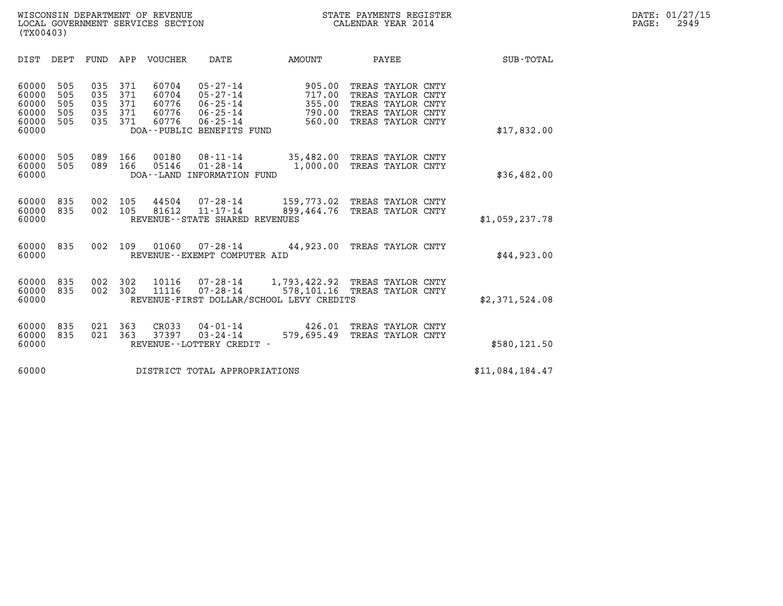| (TX00403)                                          |                                 |                                 |                                 |                                           |                                                                                                   |                                                                                          |                                                                                                       |                  |
|----------------------------------------------------|---------------------------------|---------------------------------|---------------------------------|-------------------------------------------|---------------------------------------------------------------------------------------------------|------------------------------------------------------------------------------------------|-------------------------------------------------------------------------------------------------------|------------------|
| DIST                                               | DEPT                            | FUND                            | APP                             | VOUCHER                                   | DATE                                                                                              | AMOUNT                                                                                   | PAYEE                                                                                                 | <b>SUB-TOTAL</b> |
| 60000<br>60000<br>60000<br>60000<br>60000<br>60000 | 505<br>505<br>505<br>505<br>505 | 035<br>035<br>035<br>035<br>035 | 371<br>371<br>371<br>371<br>371 | 60704<br>60704<br>60776<br>60776<br>60776 | $05 - 27 - 14$<br>$05 - 27 - 14$<br>06-25-14<br>06-25-14<br>06-25-14<br>DOA--PUBLIC BENEFITS FUND | 905.00<br>717.00<br>355.00<br>790.00<br>560.00                                           | TREAS TAYLOR CNTY<br>TREAS TAYLOR CNTY<br>TREAS TAYLOR CNTY<br>TREAS TAYLOR CNTY<br>TREAS TAYLOR CNTY | \$17,832.00      |
| 60000<br>60000<br>60000                            | 505<br>505                      | 089<br>089                      | 166<br>166                      | 00180<br>05146                            | $08 - 11 - 14$<br>$01 - 28 - 14$<br>DOA--LAND INFORMATION FUND                                    | 1,000.00                                                                                 | 35,482.00 TREAS TAYLOR CNTY<br>TREAS TAYLOR CNTY                                                      | \$36,482.00      |
| 60000<br>60000<br>60000                            | 835<br>835                      | 002<br>002                      | 105<br>105                      | 44504<br>81612                            | 07-28-14<br>11-17-14<br>REVENUE - - STATE SHARED REVENUES                                         | 899,464.76                                                                               | 159,773.02 TREAS TAYLOR CNTY<br>TREAS TAYLOR CNTY                                                     | \$1,059,237.78   |
| 60000<br>60000                                     | 835                             | 002                             | 109                             | 01060                                     | 07-28-14<br>REVENUE - - EXEMPT COMPUTER AID                                                       | 44,923.00                                                                                | TREAS TAYLOR CNTY                                                                                     | \$44,923.00      |
| 60000<br>60000<br>60000                            | 835<br>835                      | 002<br>002                      | 302<br>302                      | 10116<br>11116                            | $07 - 28 - 14$<br>$07 - 28 - 14$                                                                  | 1,793,422.92 TREAS TAYLOR CNTY<br>578,101.16<br>REVENUE-FIRST DOLLAR/SCHOOL LEVY CREDITS | TREAS TAYLOR CNTY                                                                                     | \$2,371,524.08   |
| 60000<br>60000<br>60000                            | 835<br>835                      | 021<br>021                      | 363<br>363                      | CR033<br>37397                            | 04-01-14<br>$03 - 24 - 14$<br>REVENUE--LOTTERY CREDIT -                                           | 426.01<br>579,695.49                                                                     | TREAS TAYLOR CNTY<br>TREAS TAYLOR CNTY                                                                | \$580,121.50     |
| 60000                                              |                                 |                                 |                                 |                                           | DISTRICT TOTAL APPROPRIATIONS                                                                     |                                                                                          |                                                                                                       | \$11,084,184.47  |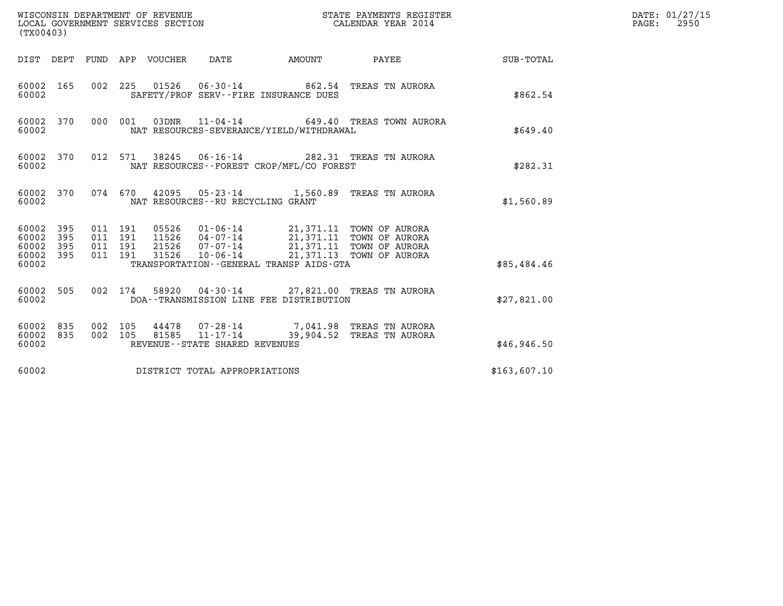| (TX00403)                                         |            |                                          |         |                            | WISCONSIN DEPARTMENT OF REVENUE<br>LOCAL GOVERNMENT SERVICES SECTION | STATE PAYMENTS REGISTER                  | DATE: 01/27/15<br>$\mathtt{PAGE}$ :<br>2950                                                                                                                      |              |  |
|---------------------------------------------------|------------|------------------------------------------|---------|----------------------------|----------------------------------------------------------------------|------------------------------------------|------------------------------------------------------------------------------------------------------------------------------------------------------------------|--------------|--|
|                                                   |            |                                          |         | DIST DEPT FUND APP VOUCHER | DATE                                                                 | <b>EXAMPLE THE AMOUNT</b>                | PAYEE                                                                                                                                                            | SUB-TOTAL    |  |
| 60002 165<br>60002                                |            |                                          |         |                            | SAFETY/PROF SERV--FIRE INSURANCE DUES                                |                                          | 002 225 01526 06-30-14 862.54 TREAS TN AURORA                                                                                                                    | \$862.54     |  |
| 60002 370<br>60002                                |            |                                          | 000 001 |                            | 03DNR 11-04-14                                                       | NAT RESOURCES-SEVERANCE/YIELD/WITHDRAWAL | 649.40 TREAS TOWN AURORA                                                                                                                                         | \$649.40     |  |
| 60002 370<br>60002                                |            |                                          | 012 571 | 38245                      |                                                                      | NAT RESOURCES--FOREST CROP/MFL/CO FOREST | 06-16-14 282.31 TREAS TN AURORA                                                                                                                                  | \$282.31     |  |
| 60002 370<br>60002                                |            |                                          |         |                            | NAT RESOURCES - - RU RECYCLING GRANT                                 |                                          | 074 670 42095 05-23-14 1,560.89 TREAS TN AURORA                                                                                                                  | \$1,560.89   |  |
| 60002 395<br>60002<br>60002<br>60002 395<br>60002 | 395<br>395 | 011 191<br>011 191<br>011 191<br>011 191 |         | 21526<br>31526             | $10 - 06 - 14$                                                       | TRANSPORTATION--GENERAL TRANSP AIDS-GTA  | 05526  01-06-14  21,371.11  TOWN OF AURORA<br>11526  04-07-14  21,371.11  TOWN OF AURORA<br>$07 - 07 - 14$ 21, 371.11 TOWN OF AURORA<br>21,371.13 TOWN OF AURORA | \$85,484.46  |  |
| 60002 505<br>60002                                |            |                                          | 002 174 |                            |                                                                      | DOA--TRANSMISSION LINE FEE DISTRIBUTION  | 58920  04-30-14  27,821.00  TREAS TN AURORA                                                                                                                      | \$27,821.00  |  |
| 60002 835<br>60002 835<br>60002                   |            | 002 105<br>002 105                       |         | 44478                      | REVENUE--STATE SHARED REVENUES                                       |                                          | 07-28-14 7,041.98 TREAS TN AURORA<br>81585  11-17-14  39,904.52  TREAS TN AURORA                                                                                 | \$46,946.50  |  |
| 60002                                             |            |                                          |         |                            | DISTRICT TOTAL APPROPRIATIONS                                        |                                          |                                                                                                                                                                  | \$163,607.10 |  |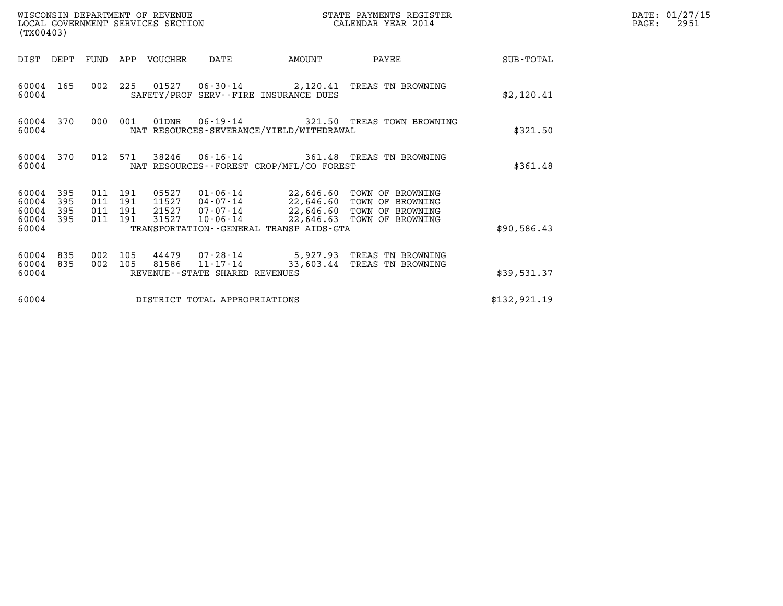| (TX00403)                                 |                          |                                      |            | WISCONSIN DEPARTMENT OF REVENUE<br>LOCAL GOVERNMENT SERVICES SECTION |                                                                    |                                              | DATE: 01/27/15<br>PAGE:<br>2951                                                                                      |              |  |
|-------------------------------------------|--------------------------|--------------------------------------|------------|----------------------------------------------------------------------|--------------------------------------------------------------------|----------------------------------------------|----------------------------------------------------------------------------------------------------------------------|--------------|--|
| DIST DEPT                                 |                          | FUND                                 |            | APP VOUCHER                                                          | DATE                                                               | AMOUNT                                       | PAYEE                                                                                                                | SUB-TOTAL    |  |
| 60004<br>60004                            | 165                      | 002                                  | 225        |                                                                      |                                                                    | SAFETY/PROF SERV--FIRE INSURANCE DUES        | 01527  06-30-14  2,120.41  TREAS TN BROWNING                                                                         | \$2,120.41   |  |
| 60004                                     | 60004 370                | 000                                  | 001        | 01DNR                                                                | 06-19-14                                                           | NAT RESOURCES-SEVERANCE/YIELD/WITHDRAWAL     | 321.50 TREAS TOWN BROWNING                                                                                           | \$321.50     |  |
| 60004                                     | 60004 370                |                                      | 012 571    | 38246                                                                | $06 - 16 - 14$                                                     | NAT RESOURCES - - FOREST CROP/MFL/CO FOREST  | 361.48 TREAS TN BROWNING                                                                                             | \$361.48     |  |
| 60004<br>60004<br>60004<br>60004<br>60004 | 395<br>395<br>395<br>395 | 011 191<br>011<br>011 191<br>011 191 | 191        | 05527<br>11527<br>21527<br>31527                                     | 01-06-14<br>04-07-14<br>07-07-14<br>$10 - 06 - 14$                 | TRANSPORTATION - - GENERAL TRANSP AIDS - GTA | 22,646.60 TOWN OF BROWNING<br>22,646.60 TOWN OF BROWNING<br>22,646.60 TOWN OF BROWNING<br>22,646.63 TOWN OF BROWNING | \$90,586.43  |  |
| 60004<br>60004<br>60004                   | 835<br>835               | 002<br>002                           | 105<br>105 | 81586                                                                | 44479 07-28-14<br>$11 - 17 - 14$<br>REVENUE--STATE SHARED REVENUES | 33,603.44                                    | 5,927.93 TREAS TN BROWNING<br>TREAS TN BROWNING                                                                      | \$39,531.37  |  |
| 60004                                     |                          |                                      |            |                                                                      | DISTRICT TOTAL APPROPRIATIONS                                      |                                              |                                                                                                                      | \$132,921.19 |  |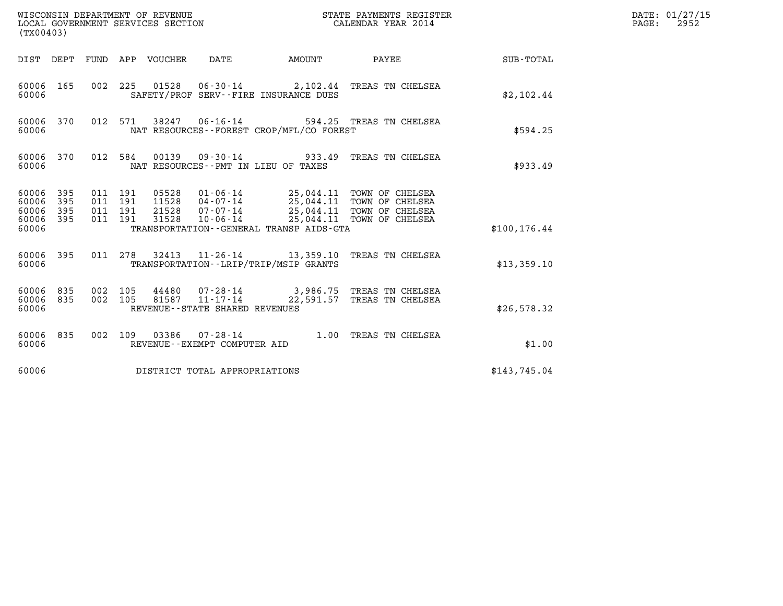| (TX00403)                                 |                          |                                          |         | WISCONSIN DEPARTMENT OF REVENUE<br>LOCAL GOVERNMENT SERVICES SECTION |                                               |                                          | STATE PAYMENTS REGISTER<br>CALENDAR YEAR 2014                                                                                               |               | DATE: 01/27/15<br>PAGE:<br>2952 |
|-------------------------------------------|--------------------------|------------------------------------------|---------|----------------------------------------------------------------------|-----------------------------------------------|------------------------------------------|---------------------------------------------------------------------------------------------------------------------------------------------|---------------|---------------------------------|
| DIST DEPT                                 |                          |                                          |         | FUND APP VOUCHER                                                     | DATE                                          | <b>EXAMPLE THE PROPERTY OF AMOUNT</b>    | PAYEE                                                                                                                                       | SUB-TOTAL     |                                 |
| 60006 165<br>60006                        |                          |                                          |         |                                                                      |                                               | SAFETY/PROF SERV--FIRE INSURANCE DUES    | 002 225 01528 06-30-14 2,102.44 TREAS TN CHELSEA                                                                                            | \$2,102.44    |                                 |
| 60006 370<br>60006                        |                          |                                          | 012 571 |                                                                      | 38247 06-16-14                                | NAT RESOURCES--FOREST CROP/MFL/CO FOREST | 594.25 TREAS TN CHELSEA                                                                                                                     | \$594.25      |                                 |
| 60006 370<br>60006                        |                          | 012 584                                  |         |                                                                      |                                               | NAT RESOURCES - PMT IN LIEU OF TAXES     | 00139  09-30-14  933.49  TREAS TN CHELSEA                                                                                                   | \$933.49      |                                 |
| 60006<br>60006<br>60006<br>60006<br>60006 | 395<br>395<br>395<br>395 | 011 191<br>011 191<br>011 191<br>011 191 |         | 05528<br>11528<br>21528<br>31528                                     | 07-07-14                                      | TRANSPORTATION--GENERAL TRANSP AIDS-GTA  | 01-06-14 25,044.11 TOWN OF CHELSEA<br>04-07-14 25,044.11 TOWN OF CHELSEA<br>25,044.11 TOWN OF CHELSEA<br>10-06-14 25,044.11 TOWN OF CHELSEA | \$100, 176.44 |                                 |
| 60006 395<br>60006                        |                          |                                          |         | 011 278 32413                                                        |                                               | TRANSPORTATION - - LRIP/TRIP/MSIP GRANTS | 11-26-14 13,359.10 TREAS TN CHELSEA                                                                                                         | \$13,359.10   |                                 |
| 60006 835<br>60006<br>60006               | 835                      | 002 105<br>002 105                       |         | 44480<br>81587                                                       | 11-17-14<br>REVENUE - - STATE SHARED REVENUES | 22,591.57                                | 07-28-14 3,986.75 TREAS TN CHELSEA<br>TREAS TN CHELSEA                                                                                      | \$26,578.32   |                                 |
| 60006 835<br>60006                        |                          |                                          | 002 109 |                                                                      | REVENUE - - EXEMPT COMPUTER AID               |                                          | 1.00 TREAS TN CHELSEA                                                                                                                       | \$1.00        |                                 |
| 60006                                     |                          |                                          |         |                                                                      | DISTRICT TOTAL APPROPRIATIONS                 |                                          |                                                                                                                                             | \$143,745.04  |                                 |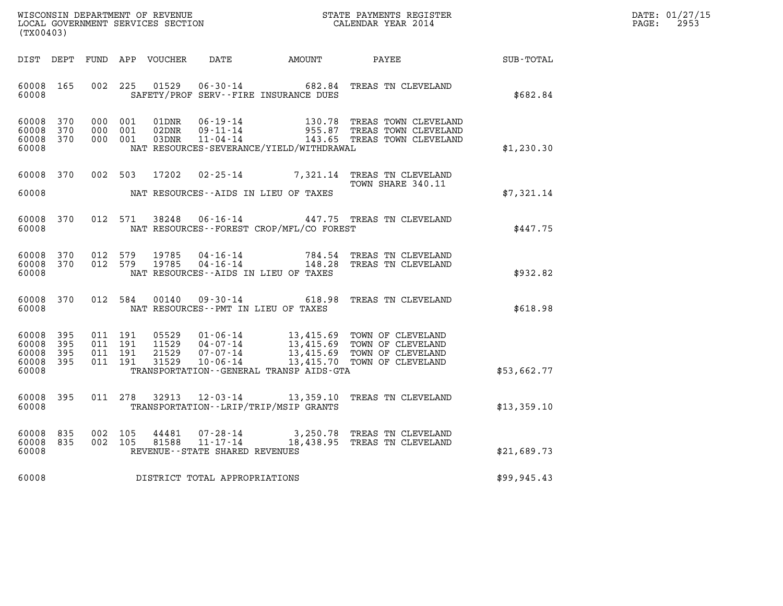| WISCONSIN DEPARTMENT OF REVENUE   | STATE PAYMENTS REGISTER | DATE: 01/27/15 |
|-----------------------------------|-------------------------|----------------|
| LOCAL GOVERNMENT SERVICES SECTION | CALENDAR YEAR 2014      | 2953<br>PAGE:  |

| (TX00403)                                 |                          |                          |                          |                                  |                                                                      |                                                                                                  |                                                                                  |                  |  |
|-------------------------------------------|--------------------------|--------------------------|--------------------------|----------------------------------|----------------------------------------------------------------------|--------------------------------------------------------------------------------------------------|----------------------------------------------------------------------------------|------------------|--|
| DIST                                      | DEPT                     | FUND                     | APP                      | VOUCHER                          | DATE                                                                 | AMOUNT                                                                                           | PAYEE                                                                            | <b>SUB-TOTAL</b> |  |
| 60008<br>60008                            | 165                      | 002                      | 225                      | 01529                            | $06 - 30 - 14$                                                       | 682.84<br>SAFETY/PROF SERV--FIRE INSURANCE DUES                                                  | TREAS TN CLEVELAND                                                               | \$682.84         |  |
| 60008<br>60008<br>60008<br>60008          | 370<br>370<br>370        | 000<br>000<br>000        | 001<br>001<br>001        | 01DNR<br>02DNR<br>03DNR          | $06 - 19 - 14$<br>$09 - 11 - 14$<br>$11 - 04 - 14$                   | 130.78<br>955.87<br>143.65<br>NAT RESOURCES-SEVERANCE/YIELD/WITHDRAWAL                           | TREAS TOWN CLEVELAND<br>TREAS TOWN CLEVELAND<br>TREAS TOWN CLEVELAND             | \$1,230.30       |  |
| 60008                                     | 370                      | 002                      | 503                      | 17202                            | $02 - 25 - 14$                                                       | 7,321.14                                                                                         | TREAS TN CLEVELAND<br>TOWN SHARE 340.11                                          |                  |  |
| 60008                                     |                          |                          |                          |                                  |                                                                      | NAT RESOURCES -- AIDS IN LIEU OF TAXES                                                           |                                                                                  | \$7,321.14       |  |
| 60008<br>60008                            | 370                      | 012                      | 571                      | 38248                            | $06 - 16 - 14$                                                       | NAT RESOURCES - - FOREST CROP/MFL/CO FOREST                                                      | 447.75 TREAS TN CLEVELAND                                                        | \$447.75         |  |
| 60008<br>60008<br>60008                   | 370<br>370               | 012<br>012               | 579<br>579               | 19785<br>19785                   | $04 - 16 - 14$<br>$04 - 16 - 14$                                     | 784.54<br>148.28<br>NAT RESOURCES -- AIDS IN LIEU OF TAXES                                       | TREAS TN CLEVELAND<br>TREAS TN CLEVELAND                                         | \$932.82         |  |
| 60008<br>60008                            | 370                      | 012                      | 584                      | 00140                            | $09 - 30 - 14$                                                       | 618.98<br>NAT RESOURCES -- PMT IN LIEU OF TAXES                                                  | TREAS TN CLEVELAND                                                               | \$618.98         |  |
| 60008<br>60008<br>60008<br>60008<br>60008 | 395<br>395<br>395<br>395 | 011<br>011<br>011<br>011 | 191<br>191<br>191<br>191 | 05529<br>11529<br>21529<br>31529 | $01 - 06 - 14$<br>$04 - 07 - 14$<br>$07 - 07 - 14$<br>$10 - 06 - 14$ | 13,415.69<br>13,415.69<br>13,415.69<br>13,415.70<br>TRANSPORTATION - - GENERAL TRANSP AIDS - GTA | TOWN OF CLEVELAND<br>TOWN OF CLEVELAND<br>TOWN OF CLEVELAND<br>TOWN OF CLEVELAND | \$53,662.77      |  |
| 60008<br>60008                            | 395                      | 011                      | 278                      | 32913                            | $12 - 03 - 14$                                                       | 13,359.10<br>TRANSPORTATION - - LRIP/TRIP/MSIP GRANTS                                            | TREAS TN CLEVELAND                                                               | \$13,359.10      |  |
| 60008<br>60008<br>60008                   | 835<br>835               | 002<br>002               | 105<br>105               | 44481<br>81588                   | $07 - 28 - 14$<br>$11 - 17 - 14$<br>REVENUE--STATE SHARED REVENUES   | 3,250.78<br>18,438.95                                                                            | TREAS TN CLEVELAND<br>TREAS TN CLEVELAND                                         | \$21,689.73      |  |
| 60008                                     |                          |                          |                          |                                  | DISTRICT TOTAL APPROPRIATIONS                                        |                                                                                                  |                                                                                  | \$99, 945.43     |  |
|                                           |                          |                          |                          |                                  |                                                                      |                                                                                                  |                                                                                  |                  |  |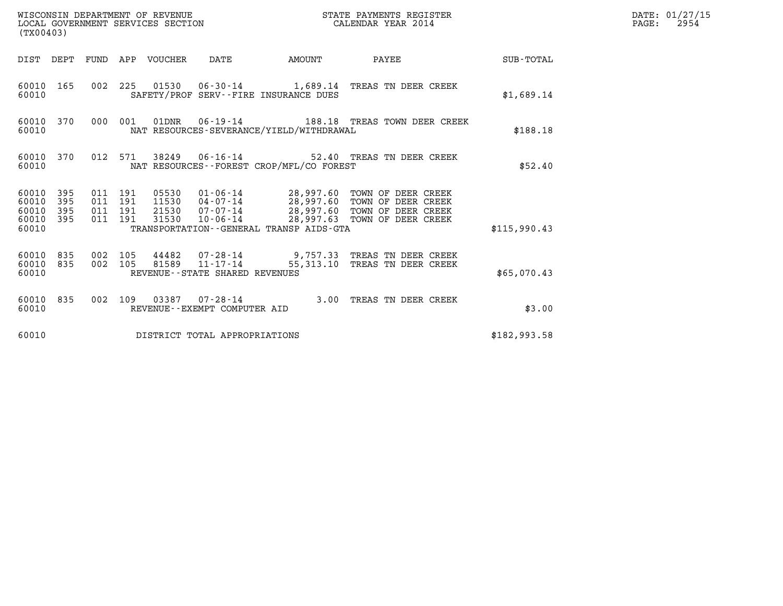| (TX00403)                                                 | WISCONSIN DEPARTMENT OF REVENUE<br>LOCAL GOVERNMENT SERVICES SECTION                                                                                            | STATE PAYMENTS REGISTER<br>CALENDAR YEAR 2014                                                                                                                                                        |              | DATE: 01/27/15<br>2954<br>$\mathtt{PAGE:}$ |
|-----------------------------------------------------------|-----------------------------------------------------------------------------------------------------------------------------------------------------------------|------------------------------------------------------------------------------------------------------------------------------------------------------------------------------------------------------|--------------|--------------------------------------------|
|                                                           | DIST DEPT FUND APP VOUCHER DATE AMOUNT PAYEE TOTAL                                                                                                              |                                                                                                                                                                                                      |              |                                            |
| 60010 165<br>60010                                        | 002 225 01530 06-30-14 1,689.14 TREAS TN DEER CREEK<br>SAFETY/PROF SERV--FIRE INSURANCE DUES                                                                    |                                                                                                                                                                                                      | \$1,689.14   |                                            |
| 60010 370<br>60010                                        | 000 001 01DNR 06-19-14 188.18 TREAS TOWN DEER CREEK<br>NAT RESOURCES-SEVERANCE/YIELD/WITHDRAWAL                                                                 |                                                                                                                                                                                                      | \$188.18     |                                            |
| 60010 370<br>60010                                        | 012 571 38249 06-16-14 52.40 TREAS TN DEER CREEK<br>NAT RESOURCES - - FOREST CROP/MFL/CO FOREST                                                                 |                                                                                                                                                                                                      | \$52.40      |                                            |
| 60010 395<br>60010 395<br>60010 395<br>60010 395<br>60010 | 011 191<br>011 191<br>011 191<br>011 191<br>TRANSPORTATION--GENERAL TRANSP AIDS-GTA                                                                             | 05530  01-06-14  28,997.60  TOWN OF DEER CREEK<br>11530  04-07-14  28,997.60  TOWN OF DEER CREEK<br>21530  07-07-14  28,997.60  TOWN OF DEER CREEK<br>31530  10-06-14  28,997.63  TOWN OF DEER CREEK | \$115.990.43 |                                            |
| 60010 835<br>60010 835<br>60010                           | 002 105  44482  07-28-14  9,757.33 TREAS TN DEER CREEK<br>002  105  81589  11-17-14  55,313.10 TREAS TN DEER CREEK<br>002 105<br>REVENUE--STATE SHARED REVENUES |                                                                                                                                                                                                      | \$65,070.43  |                                            |
| 60010                                                     | 60010 835 002 109 03387 07-28-14 3.00 TREAS TN DEER CREEK<br>REVENUE--EXEMPT COMPUTER AID                                                                       |                                                                                                                                                                                                      | \$3.00       |                                            |
| 60010                                                     | DISTRICT TOTAL APPROPRIATIONS                                                                                                                                   |                                                                                                                                                                                                      | \$182,993.58 |                                            |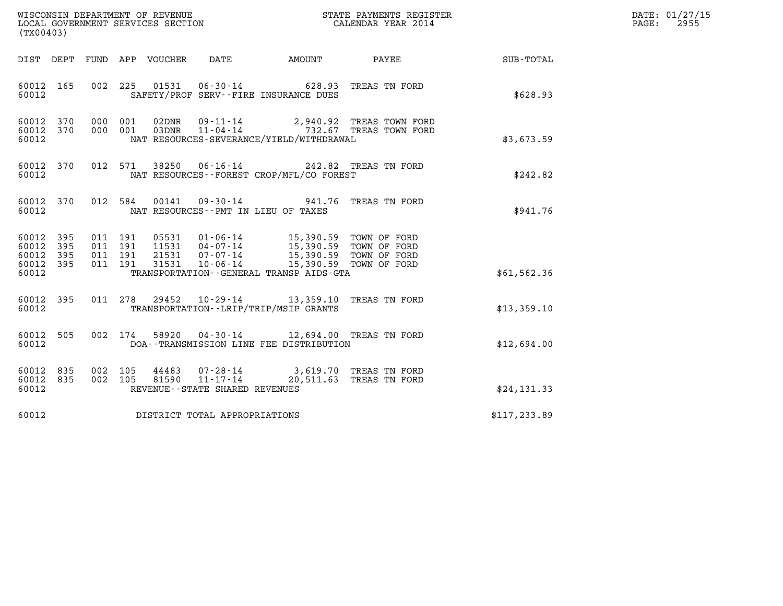| DATE: | 01/27/15 |
|-------|----------|
| PAGE: | 2955     |

| (TX00403)                                                       |                                                                                         |                                                                                                                                                                                                                              |                                                                                                                |               | DATE: 01/27/15<br>2955<br>$\mathtt{PAGE:}$ |
|-----------------------------------------------------------------|-----------------------------------------------------------------------------------------|------------------------------------------------------------------------------------------------------------------------------------------------------------------------------------------------------------------------------|----------------------------------------------------------------------------------------------------------------|---------------|--------------------------------------------|
|                                                                 | DIST DEPT FUND APP VOUCHER<br>DATE                                                      | AMOUNT                                                                                                                                                                                                                       | PAYEE FOR THE STATE OF THE STATE OF THE STATE OF THE STATE OF THE STATE OF THE STATE OF THE STATE OF THE STATE | SUB-TOTAL     |                                            |
| 60012 165<br>60012                                              | 002 225 01531 06-30-14 628.93 TREAS TN FORD<br>SAFETY/PROF SERV--FIRE INSURANCE DUES    |                                                                                                                                                                                                                              |                                                                                                                | \$628.93      |                                            |
| 60012 370<br>60012 370<br>60012                                 | 000 001<br>000 001<br>NAT RESOURCES-SEVERANCE/YIELD/WITHDRAWAL                          | 02DNR  09-11-14  2,940.92 TREAS TOWN FORD<br>03DNR  11-04-14  732.67 TREAS TOWN FORD                                                                                                                                         |                                                                                                                | \$3,673.59    |                                            |
| 60012 370<br>60012                                              | 012 571                                                                                 | 38250  06-16-14  242.82  TREAS TN FORD<br>NAT RESOURCES--FOREST CROP/MFL/CO FOREST                                                                                                                                           |                                                                                                                | \$242.82      |                                            |
| 60012 370<br>60012                                              | 012 584<br>NAT RESOURCES -- PMT IN LIEU OF TAXES                                        | 00141  09-30-14  941.76  TREAS TN FORD                                                                                                                                                                                       |                                                                                                                | \$941.76      |                                            |
| 60012 395<br>60012<br>395<br>60012<br>395<br>60012 395<br>60012 | 011 191<br>011 191<br>011 191<br>011 191                                                | 05531  01-06-14  15,390.59  TOWN OF FORD<br>11531  04-07-14  15,390.59  TOWN OF FORD<br>21531  07-07-14  15,390.59  TOWN OF FORD<br>31531  10-06-14  15,390.59  TOWN OF FORD<br>TRANSPORTATION - - GENERAL TRANSP AIDS - GTA |                                                                                                                | \$61,562.36   |                                            |
| 60012 395<br>60012                                              | 011 278 29452 10-29-14 13,359.10 TREAS TN FORD<br>TRANSPORTATION--LRIP/TRIP/MSIP GRANTS |                                                                                                                                                                                                                              |                                                                                                                | \$13,359.10   |                                            |
| 60012<br>505<br>60012                                           | 002 174<br>DOA--TRANSMISSION LINE FEE DISTRIBUTION                                      | 58920  04-30-14  12,694.00 TREAS TN FORD                                                                                                                                                                                     |                                                                                                                | \$12,694.00   |                                            |
| 60012 835<br>60012 835<br>60012                                 | 002 105<br>81590 11-17-14<br>002 105<br>REVENUE--STATE SHARED REVENUES                  | 44483 07-28-14 3,619.70 TREAS TN FORD                                                                                                                                                                                        | 20,511.63 TREAS TN FORD                                                                                        | \$24,131.33   |                                            |
| 60012                                                           | DISTRICT TOTAL APPROPRIATIONS                                                           |                                                                                                                                                                                                                              |                                                                                                                | \$117, 233.89 |                                            |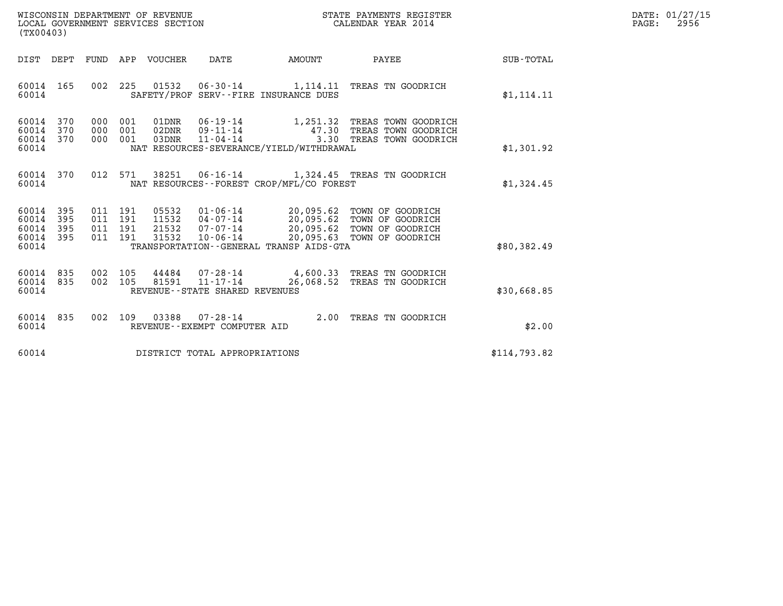| WISCONSIN DEPARTMENT OF REVENUE   | STATE PAYMENTS REGISTER | DATE: 01/27/15 |
|-----------------------------------|-------------------------|----------------|
| LOCAL GOVERNMENT SERVICES SECTION | CALENDAR YEAR 2014      | 2956<br>PAGE:  |

| (TX00403)                                                                                  | STATE PAYMENTS REGISTER<br>WISCONSIN DEPARTMENT OF REVENUE<br>LOCAL GOVERNMENT SERVICES SECTION<br>CALENDAR YEAR 2014                           |                                                                                                                                                    |              |  |  |  |
|--------------------------------------------------------------------------------------------|-------------------------------------------------------------------------------------------------------------------------------------------------|----------------------------------------------------------------------------------------------------------------------------------------------------|--------------|--|--|--|
| DIST<br>DEPT<br>FUND                                                                       | APP<br>VOUCHER<br>DATE                                                                                                                          | PAYEE<br>AMOUNT                                                                                                                                    | SUB-TOTAL    |  |  |  |
| 165<br>002<br>60014<br>60014                                                               | 225<br>01532<br>SAFETY/PROF SERV--FIRE INSURANCE DUES                                                                                           | 06-30-14 1,114.11 TREAS TN GOODRICH                                                                                                                | \$1, 114.11  |  |  |  |
| 60014 370<br>000<br>60014<br>370<br>000<br>60014<br>370<br>000<br>60014                    | 06-19-14<br>001<br>01DNR<br>$09 - 11 - 14$<br>001<br>02DNR<br>001<br>03DNR<br>NAT RESOURCES-SEVERANCE/YIELD/WITHDRAWAL                          | 1,251.32 TREAS TOWN GOODRICH<br>47.30<br>TREAS TOWN GOODRICH<br>$11 - 04 - 14$ 3.30<br>TREAS TOWN GOODRICH                                         | \$1,301.92   |  |  |  |
| 60014<br>370<br>012<br>60014                                                               | 571<br>NAT RESOURCES - - FOREST CROP/MFL/CO FOREST                                                                                              | 38251  06-16-14  1,324.45  TREAS TN GOODRICH                                                                                                       | \$1,324.45   |  |  |  |
| 60014<br>395<br>011<br>60014<br>395<br>011<br>60014<br>395<br>011<br>60014<br>395<br>60014 | 191<br>05532<br>191<br>11532<br>$04 - 07 - 14$<br>191<br>21532<br>$07 - 07 - 14$<br>011 191<br>31532<br>TRANSPORTATION--GENERAL TRANSP AIDS-GTA | $01 - 06 - 14$ 20,095.62<br>TOWN OF GOODRICH<br>20,095.62<br>TOWN OF GOODRICH<br>20,095.62 TOWN OF GOODRICH<br>10-06-14 20,095.63 TOWN OF GOODRICH | \$80,382.49  |  |  |  |
| 60014 835<br>002<br>60014<br>835<br>60014                                                  | 002 105<br>44484<br>105<br>81591<br>$11 - 17 - 14$<br>REVENUE--STATE SHARED REVENUES                                                            | 07-28-14 4,600.33 TREAS TN GOODRICH<br>26,068.52<br>TREAS TN GOODRICH                                                                              | \$30,668.85  |  |  |  |
| 835<br>002<br>60014<br>60014                                                               | 109<br>03388<br>07-28-14<br>REVENUE - - EXEMPT COMPUTER AID                                                                                     | 2.00<br>TREAS TN GOODRICH                                                                                                                          | \$2.00       |  |  |  |
| 60014                                                                                      | DISTRICT TOTAL APPROPRIATIONS                                                                                                                   |                                                                                                                                                    | \$114,793.82 |  |  |  |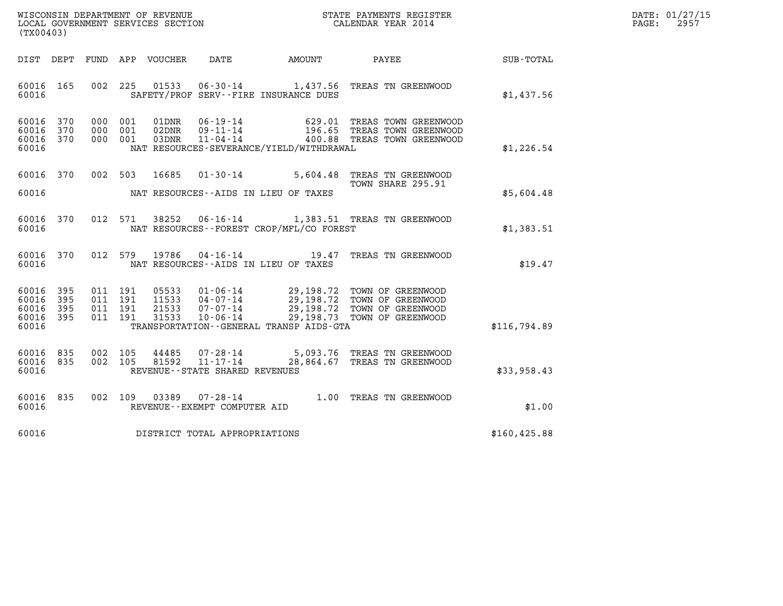| WISCONSIN DEPARTMENT OF REVENUE   | STATE PAYMENTS REGISTER | DATE: 01/27/15 |
|-----------------------------------|-------------------------|----------------|
| LOCAL GOVERNMENT SERVICES SECTION | CALENDAR YEAR 2014      | 2957<br>PAGE:  |

| WISCONSIN DEPARTMENT OF REVENUE<br>STATE PAYMENTS REGISTER<br>CALENDAR YEAR 2014<br>LOCAL GOVERNMENT SERVICES SECTION<br>(TX00403) |                          |                          |                          |                                  |                                                                                                                 |           |                                                                                                                |                  |
|------------------------------------------------------------------------------------------------------------------------------------|--------------------------|--------------------------|--------------------------|----------------------------------|-----------------------------------------------------------------------------------------------------------------|-----------|----------------------------------------------------------------------------------------------------------------|------------------|
| DIST                                                                                                                               | DEPT                     | FUND                     | APP                      | VOUCHER                          | DATE                                                                                                            | AMOUNT    | PAYEE                                                                                                          | <b>SUB-TOTAL</b> |
| 60016<br>60016                                                                                                                     | 165                      | 002                      | 225                      | 01533                            | $06 - 30 - 14$<br>SAFETY/PROF SERV--FIRE INSURANCE DUES                                                         |           | 1,437.56 TREAS TN GREENWOOD                                                                                    | \$1,437.56       |
| 60016<br>60016<br>60016<br>60016                                                                                                   | 370<br>370<br>370        | 000<br>000<br>000        | 001<br>001<br>001        | 01DNR<br>02DNR<br>03DNR          | $06 - 19 - 14$<br>$09 - 11 - 14$<br>$11 - 04 - 14$<br>NAT RESOURCES-SEVERANCE/YIELD/WITHDRAWAL                  | 629.01    | TREAS TOWN GREENWOOD<br>196.65 TREAS TOWN GREENWOOD<br>400.88 TREAS TOWN GREENWOOD                             | \$1,226.54       |
| 60016<br>60016                                                                                                                     | 370                      | 002                      | 503                      | 16685                            | $01 - 30 - 14$<br>NAT RESOURCES -- AIDS IN LIEU OF TAXES                                                        | 5,604.48  | TREAS TN GREENWOOD<br>TOWN SHARE 295.91                                                                        | \$5,604.48       |
| 60016<br>60016                                                                                                                     | 370                      | 012                      | 571                      | 38252                            | $06 - 16 - 14$<br>NAT RESOURCES - - FOREST CROP/MFL/CO FOREST                                                   |           | 1,383.51 TREAS TN GREENWOOD                                                                                    | \$1,383.51       |
| 60016<br>60016                                                                                                                     | 370                      | 012                      | 579                      | 19786                            | $04 - 16 - 14$<br>NAT RESOURCES -- AIDS IN LIEU OF TAXES                                                        | 19.47     | TREAS TN GREENWOOD                                                                                             | \$19.47          |
| 60016<br>60016<br>60016<br>60016<br>60016                                                                                          | 395<br>395<br>395<br>395 | 011<br>011<br>011<br>011 | 191<br>191<br>191<br>191 | 05533<br>11533<br>21533<br>31533 | $01 - 06 - 14$<br>$04 - 07 - 14$<br>$07 - 07 - 14$<br>$10 - 06 - 14$<br>TRANSPORTATION--GENERAL TRANSP AIDS-GTA | 29,198.73 | 29,198.72 TOWN OF GREENWOOD<br>29,198.72 TOWN OF GREENWOOD<br>29,198.72 TOWN OF GREENWOOD<br>TOWN OF GREENWOOD | \$116,794.89     |
| 60016<br>60016<br>60016                                                                                                            | 835<br>835               | 002<br>002               | 105<br>105               | 44485<br>81592                   | $07 - 28 - 14$<br>$11 - 17 - 14$<br>REVENUE - - STATE SHARED REVENUES                                           |           | 5,093.76 TREAS TN GREENWOOD<br>28,864.67 TREAS TN GREENWOOD                                                    | \$33,958.43      |
| 60016<br>60016                                                                                                                     | 835                      | 002                      | 109                      | 03389                            | $07 - 28 - 14$<br>REVENUE--EXEMPT COMPUTER AID                                                                  |           | 1.00 TREAS TN GREENWOOD                                                                                        | \$1.00           |
| 60016                                                                                                                              |                          |                          |                          |                                  | DISTRICT TOTAL APPROPRIATIONS                                                                                   |           |                                                                                                                | \$160, 425.88    |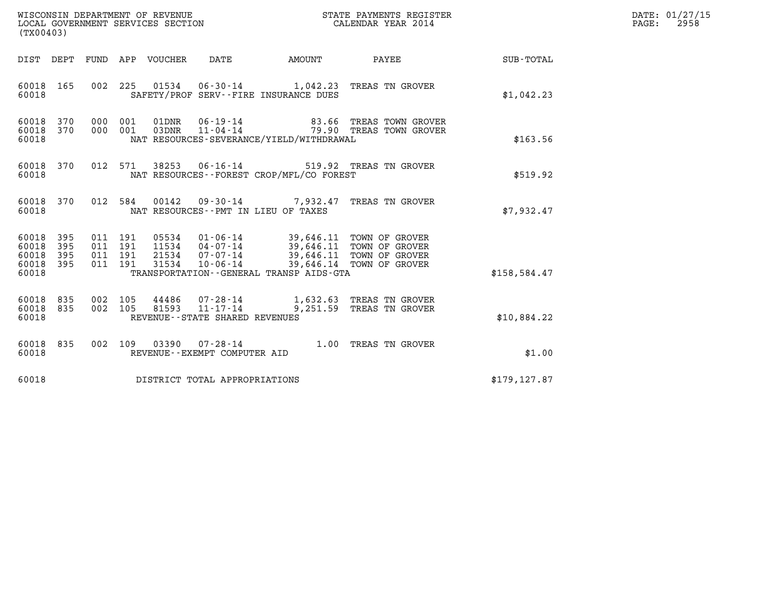| WISCONSIN DEPARTMENT OF REVENUE<br>LOCAL GOVERNMENT SERVICES SECTION<br>(TX00403) |                   |            |                                          |                            |                                                                       |                                                                                                                                                                                        | STATE PAYMENTS REGISTER<br>CALENDAR YEAR 2014        |               | DATE: 01/27/15<br>$\mathtt{PAGE:}$<br>2958 |
|-----------------------------------------------------------------------------------|-------------------|------------|------------------------------------------|----------------------------|-----------------------------------------------------------------------|----------------------------------------------------------------------------------------------------------------------------------------------------------------------------------------|------------------------------------------------------|---------------|--------------------------------------------|
|                                                                                   |                   |            |                                          | DIST DEPT FUND APP VOUCHER | DATE                                                                  | AMOUNT                                                                                                                                                                                 | <b>PAYEE</b> FOUND THE PAYEE                         | SUB-TOTAL     |                                            |
| 60018<br>60018                                                                    | 165               |            | 002 225                                  |                            |                                                                       | SAFETY/PROF SERV--FIRE INSURANCE DUES                                                                                                                                                  | 01534  06-30-14   1,042.23  TREAS TN GROVER          | \$1,042.23    |                                            |
| 60018 370<br>60018                                                                | 60018 370         |            | 000 001<br>000 001                       |                            |                                                                       | NAT RESOURCES-SEVERANCE/YIELD/WITHDRAWAL                                                                                                                                               |                                                      | \$163.56      |                                            |
| 60018<br>60018                                                                    | 370               |            | 012 571                                  | 38253                      |                                                                       | NAT RESOURCES--FOREST CROP/MFL/CO FOREST                                                                                                                                               | 06-16-14 519.92 TREAS TN GROVER                      | \$519.92      |                                            |
| 60018 370<br>60018                                                                |                   |            |                                          |                            |                                                                       | NAT RESOURCES -- PMT IN LIEU OF TAXES                                                                                                                                                  | 012 584 00142 09-30-14 7,932.47 TREAS TN GROVER      | \$7,932.47    |                                            |
| 60018<br>60018<br>60018<br>60018 395<br>60018                                     | 395<br>395<br>395 |            | 011 191<br>011 191<br>011 191<br>011 191 | 31534                      | $10 - 06 - 14$                                                        | 05534  01-06-14  39,646.11  TOWN OF GROVER<br>11534  04-07-14  39,646.11  TOWN OF GROVER<br>21534  07-07-14  39,646.11  TOWN OF GROVER<br>TRANSPORTATION - - GENERAL TRANSP AIDS - GTA | 39,646.14 TOWN OF GROVER                             | \$158, 584.47 |                                            |
| 60018 835<br>60018 835<br>60018                                                   |                   | 002<br>002 | 105<br>105                               | 81593                      | 44486 07-28-14<br>$11 - 17 - 14$<br>REVENUE - - STATE SHARED REVENUES |                                                                                                                                                                                        | 1,632.63 TREAS TN GROVER<br>9,251.59 TREAS TN GROVER | \$10,884.22   |                                            |
| 60018<br>60018                                                                    | 835               |            |                                          |                            | 002 109 03390 07-28-14<br>REVENUE--EXEMPT COMPUTER AID                |                                                                                                                                                                                        | 1.00 TREAS TN GROVER                                 | \$1.00        |                                            |
| 60018                                                                             |                   |            |                                          |                            | DISTRICT TOTAL APPROPRIATIONS                                         |                                                                                                                                                                                        |                                                      | \$179, 127.87 |                                            |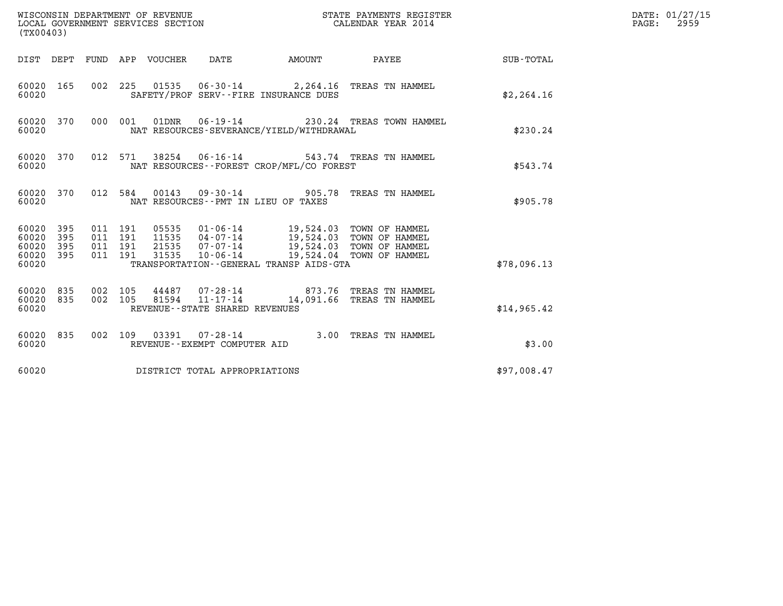| (TX00403)                                         |            |                    |                    |                                 |                                               |                                                                                                                                                              | STATE PAYMENTS REGISTER                                            |             | DATE: 01/27/15<br>$\mathtt{PAGE}$ :<br>2959 |
|---------------------------------------------------|------------|--------------------|--------------------|---------------------------------|-----------------------------------------------|--------------------------------------------------------------------------------------------------------------------------------------------------------------|--------------------------------------------------------------------|-------------|---------------------------------------------|
|                                                   |            |                    |                    | DIST DEPT FUND APP VOUCHER DATE |                                               | <b>AMOUNT</b>                                                                                                                                                | PAYEE                                                              | SUB-TOTAL   |                                             |
| 60020 165<br>60020                                |            |                    |                    |                                 |                                               | SAFETY/PROF SERV--FIRE INSURANCE DUES                                                                                                                        | 002 225 01535 06-30-14 2,264.16 TREAS TN HAMMEL                    | \$2,264.16  |                                             |
| 60020 370<br>60020                                |            |                    | 000 001            |                                 | 01DNR 06-19-14                                | NAT RESOURCES-SEVERANCE/YIELD/WITHDRAWAL                                                                                                                     | 230.24 TREAS TOWN HAMMEL                                           | \$230.24    |                                             |
| 60020 370<br>60020                                |            |                    | 012 571            |                                 |                                               | NAT RESOURCES--FOREST CROP/MFL/CO FOREST                                                                                                                     | 38254 06-16-14 543.74 TREAS TN HAMMEL                              | \$543.74    |                                             |
| 60020 370<br>60020                                |            |                    |                    |                                 |                                               | NAT RESOURCES -- PMT IN LIEU OF TAXES                                                                                                                        | 012 584 00143 09-30-14 905.78 TREAS TN HAMMEL                      | \$905.78    |                                             |
| 60020 395<br>60020<br>60020<br>60020 395<br>60020 | 395<br>395 | 011 191<br>011 191 | 011 191<br>011 191 | 11535<br>21535<br>31535         | $10 - 06 - 14$                                | 05535 01-06-14 19,524.03 TOWN OF HAMMEL<br>04-07-14 19,524.03 TOWN OF HAMMEL<br>07-07-14 19,524.03 TOWN OF HAMMEL<br>TRANSPORTATION--GENERAL TRANSP AIDS-GTA | 19,524.04 TOWN OF HAMMEL                                           | \$78,096.13 |                                             |
| 60020 835<br>60020 835<br>60020                   |            | 002 105<br>002 105 |                    | 81594                           | 11-17-14<br>REVENUE - - STATE SHARED REVENUES |                                                                                                                                                              | 44487 07-28-14 873.76 TREAS TN HAMMEL<br>14,091.66 TREAS TN HAMMEL | \$14,965.42 |                                             |
| 60020 835<br>60020                                |            |                    |                    |                                 | REVENUE--EXEMPT COMPUTER AID                  |                                                                                                                                                              | 002 109 03391 07-28-14 3.00 TREAS TN HAMMEL                        | \$3.00      |                                             |
| 60020                                             |            |                    |                    |                                 | DISTRICT TOTAL APPROPRIATIONS                 |                                                                                                                                                              |                                                                    | \$97,008.47 |                                             |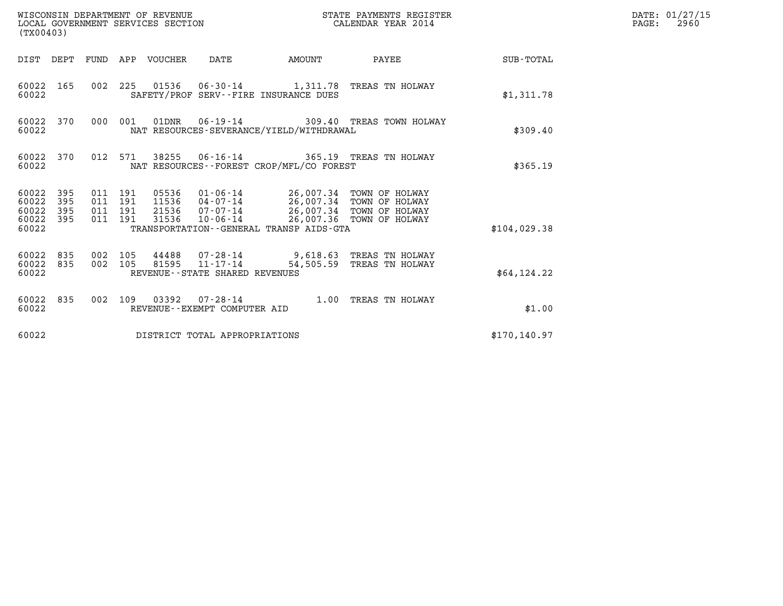| (TX00403)                                                          |                                          | WISCONSIN DEPARTMENT OF REVENUE<br>LOCAL GOVERNMENT SERVICES SECTION |                                                  |        | STATE PAYMENTS REGISTER<br>CALENDAR YEAR 2014                                                                                                                            |                 | DATE: 01/27/15<br>$\mathtt{PAGE:}$<br>2960 |
|--------------------------------------------------------------------|------------------------------------------|----------------------------------------------------------------------|--------------------------------------------------|--------|--------------------------------------------------------------------------------------------------------------------------------------------------------------------------|-----------------|--------------------------------------------|
|                                                                    |                                          | DIST DEPT FUND APP VOUCHER DATE                                      |                                                  | AMOUNT |                                                                                                                                                                          | PAYEE SUB-TOTAL |                                            |
| 60022 165<br>60022                                                 |                                          |                                                                      | SAFETY/PROF SERV--FIRE INSURANCE DUES            |        | 002 225 01536 06-30-14 1,311.78 TREAS TN HOLWAY                                                                                                                          | \$1,311.78      |                                            |
| 60022 370<br>60022                                                 | 000 001                                  |                                                                      | NAT RESOURCES-SEVERANCE/YIELD/WITHDRAWAL         |        | 01DNR  06-19-14  309.40 TREAS TOWN HOLWAY                                                                                                                                | \$309.40        |                                            |
| 60022 370<br>60022                                                 | 012 571                                  |                                                                      | NAT RESOURCES--FOREST CROP/MFL/CO FOREST         |        | 38255   06-16-14   365.19   TREAS TN HOLWAY                                                                                                                              | \$365.19        |                                            |
| 395<br>60022<br>60022<br>395<br>60022<br>395<br>60022 395<br>60022 | 011 191<br>011 191<br>011 191<br>011 191 | 31536                                                                | TRANSPORTATION - - GENERAL TRANSP AIDS - GTA     |        | 05536  01-06-14  26,007.34  TOWN OF HOLWAY<br>11536  04-07-14  26,007.34  TOWN OF HOLWAY<br>21536 07-07-14 26,007.34 TOWN OF HOLWAY<br>10-06-14 26,007.36 TOWN OF HOLWAY | \$104.029.38    |                                            |
| 60022 835<br>60022 835<br>60022                                    | 002 105<br>002 105                       |                                                                      | 81595 11-17-14<br>REVENUE--STATE SHARED REVENUES |        | 44488 07-28-14 9,618.63 TREAS TN HOLWAY<br>54,505.59 TREAS TN HOLWAY                                                                                                     | \$64,124.22     |                                            |
| 60022 835<br>60022                                                 |                                          |                                                                      | REVENUE--EXEMPT COMPUTER AID                     |        | 002 109 03392 07-28-14 1.00 TREAS TN HOLWAY                                                                                                                              | \$1.00          |                                            |
| 60022                                                              |                                          |                                                                      | DISTRICT TOTAL APPROPRIATIONS                    |        |                                                                                                                                                                          | \$170, 140.97   |                                            |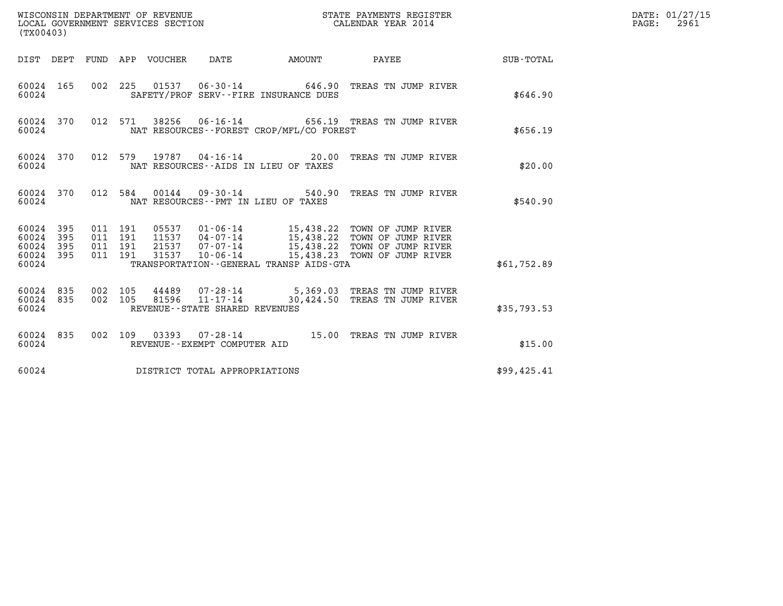| (TX00403)                                         |            |                                          |         |                                 | WISCONSIN DEPARTMENT OF REVENUE<br>LOCAL GOVERNMENT SERVICES SECTION |                                          | STATE PAYMENTS REGISTER<br>CALENDAR YEAR 2014                                                                                               |             | DATE: 01/27/15<br>$\mathtt{PAGE}$ :<br>2961 |
|---------------------------------------------------|------------|------------------------------------------|---------|---------------------------------|----------------------------------------------------------------------|------------------------------------------|---------------------------------------------------------------------------------------------------------------------------------------------|-------------|---------------------------------------------|
|                                                   |            |                                          |         | DIST DEPT FUND APP VOUCHER DATE |                                                                      | <b>AMOUNT</b>                            | PAYEE                                                                                                                                       | SUB-TOTAL   |                                             |
| 60024 165<br>60024                                |            |                                          |         |                                 |                                                                      | SAFETY/PROF SERV--FIRE INSURANCE DUES    | 002 225 01537 06-30-14 646.90 TREAS TN JUMP RIVER                                                                                           | \$646.90    |                                             |
| 60024 370<br>60024                                |            |                                          | 012 571 |                                 |                                                                      | NAT RESOURCES--FOREST CROP/MFL/CO FOREST | 38256  06-16-14  656.19  TREAS TN JUMP RIVER                                                                                                | \$656.19    |                                             |
| 60024 370<br>60024                                |            | 012 579                                  |         |                                 |                                                                      | NAT RESOURCES--AIDS IN LIEU OF TAXES     |                                                                                                                                             | \$20.00     |                                             |
| 60024 370<br>60024                                |            |                                          | 012 584 |                                 |                                                                      | NAT RESOURCES -- PMT IN LIEU OF TAXES    | 00144  09-30-14  540.90 TREAS TN JUMP RIVER                                                                                                 | \$540.90    |                                             |
| 60024 395<br>60024<br>60024<br>60024 395<br>60024 | 395<br>395 | 011 191<br>011 191<br>011 191<br>011 191 |         | 31537                           | 21537 07-07-14<br>$10 - 06 - 14$                                     | TRANSPORTATION--GENERAL TRANSP AIDS-GTA  | 15,438.22 TOWN OF JUMP RIVER<br>11537 04-07-14 15,438.22 TOWN OF JUMP RIVER<br>15,438.22 TOWN OF JUMP RIVER<br>15,438.23 TOWN OF JUMP RIVER | \$61,752.89 |                                             |
| 60024 835<br>60024 835<br>60024                   |            | 002 105<br>002 105                       |         | 44489<br>81596                  | $11 - 17 - 14$<br>REVENUE - - STATE SHARED REVENUES                  |                                          | 07-28-14 5,369.03 TREAS TN JUMP RIVER<br>30,424.50 TREAS TN JUMP RIVER                                                                      | \$35,793.53 |                                             |
| 60024 835<br>60024                                |            |                                          |         |                                 | REVENUE - - EXEMPT COMPUTER AID                                      |                                          | 002 109 03393 07-28-14 15.00 TREAS TN JUMP RIVER                                                                                            | \$15.00     |                                             |
| 60024                                             |            |                                          |         |                                 | DISTRICT TOTAL APPROPRIATIONS                                        |                                          |                                                                                                                                             | \$99,425.41 |                                             |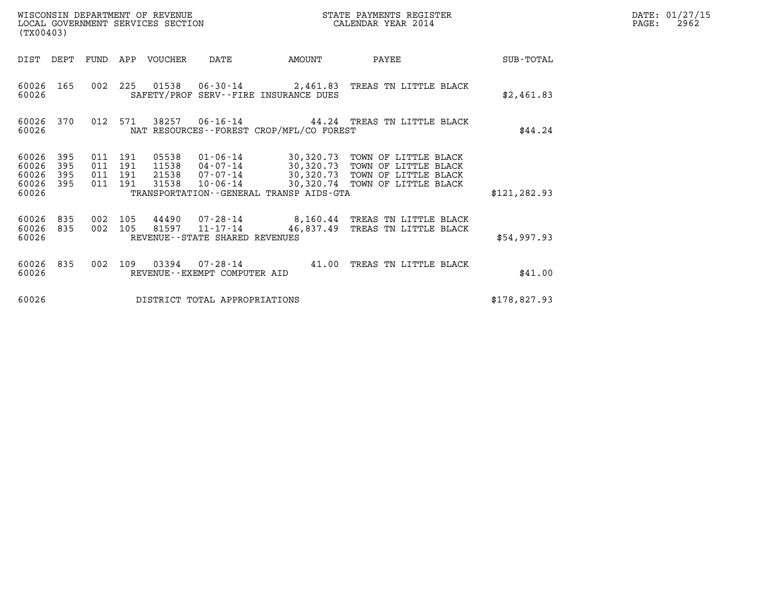| WISCONSIN DEPARTMENT OF REVENUE<br>STATE PAYMENTS REGISTER<br>CALENDAR YEAR 2014<br>LOCAL GOVERNMENT SERVICES SECTION<br>(TX00403) |                          |                                      |         |                         |                                                     |                                             | DATE: 01/27/15<br>$\mathtt{PAGE:}$<br>2962                                                                                                                               |               |  |
|------------------------------------------------------------------------------------------------------------------------------------|--------------------------|--------------------------------------|---------|-------------------------|-----------------------------------------------------|---------------------------------------------|--------------------------------------------------------------------------------------------------------------------------------------------------------------------------|---------------|--|
| DIST                                                                                                                               | DEPT                     |                                      |         | FUND APP VOUCHER        | DATE                                                | AMOUNT                                      | PAYEE                                                                                                                                                                    | SUB-TOTAL     |  |
| 60026                                                                                                                              | 60026 165                |                                      |         |                         |                                                     | SAFETY/PROF SERV--FIRE INSURANCE DUES       | 002 225 01538 06-30-14 2,461.83 TREAS TN LITTLE BLACK                                                                                                                    | \$2,461.83    |  |
| 60026                                                                                                                              | 60026 370                |                                      | 012 571 |                         |                                                     | NAT RESOURCES - - FOREST CROP/MFL/CO FOREST | 38257 06-16-14 44.24 TREAS TN LITTLE BLACK                                                                                                                               | \$44.24       |  |
| 60026<br>60026<br>60026<br>60026<br>60026                                                                                          | 395<br>395<br>395<br>395 | 011 191<br>011<br>011 191<br>011 191 | 191     | 05538<br>21538<br>31538 | $10 - 06 - 14$                                      | TRANSPORTATION--GENERAL TRANSP AIDS-GTA     | 01-06-14 30,320.73 TOWN OF LITTLE BLACK<br>11538  04-07-14  30,320.73  TOWN OF LITTLE BLACK<br>07-07-14 30,320.73 TOWN OF LITTLE BLACK<br>30,320.74 TOWN OF LITTLE BLACK | \$121, 282.93 |  |
| 60026 835<br>60026 835<br>60026                                                                                                    |                          | 002 105<br>002 105                   |         |                         | 81597 11-17-14<br>REVENUE - - STATE SHARED REVENUES |                                             | 44490 07-28-14 8,160.44 TREAS TN LITTLE BLACK<br>46,837.49 TREAS TN LITTLE BLACK                                                                                         | \$54,997.93   |  |
| 60026 835<br>60026                                                                                                                 |                          | 002                                  | 109     |                         | REVENUE--EXEMPT COMPUTER AID                        | $03394$ $07-28-14$ $41.00$                  | TREAS TN LITTLE BLACK                                                                                                                                                    | \$41.00       |  |
| 60026                                                                                                                              |                          |                                      |         |                         | DISTRICT TOTAL APPROPRIATIONS                       |                                             |                                                                                                                                                                          | \$178,827.93  |  |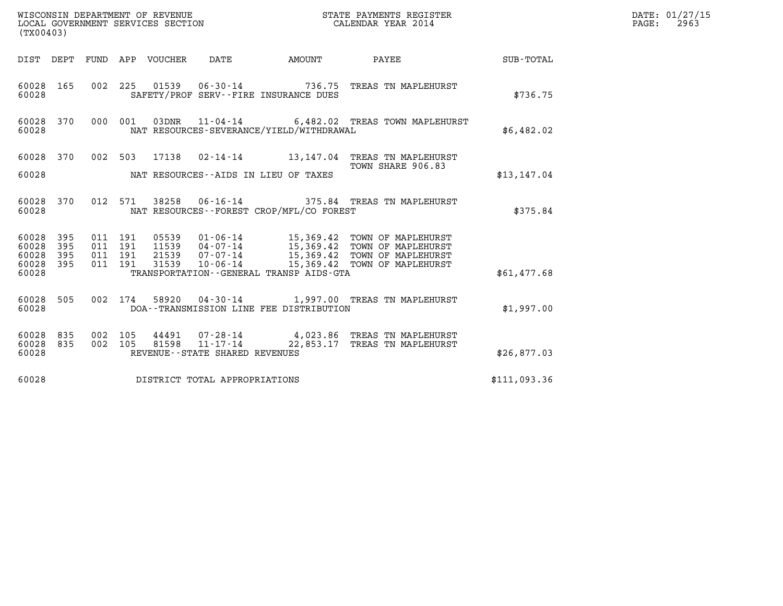| DATE: | 01/27/15 |
|-------|----------|
| PAGE: | 2963     |

| WISCONSIN DEPARTMENT OF REVENUE<br>LOCAL GOVERNMENT SERVICES SECTION<br>(TX00403) |            |  |                    |                  |                                   |                                             | STATE PAYMENTS REGISTER<br>CALENDAR YEAR 2014                                                                                                      |              | DATE: 01/27/15<br>$\mathtt{PAGE:}$<br>2963 |
|-----------------------------------------------------------------------------------|------------|--|--------------------|------------------|-----------------------------------|---------------------------------------------|----------------------------------------------------------------------------------------------------------------------------------------------------|--------------|--------------------------------------------|
|                                                                                   | DIST DEPT  |  |                    | FUND APP VOUCHER | DATE                              | <b>AMOUNT</b>                               | PAYEE SUB-TOTAL                                                                                                                                    |              |                                            |
| 60028 165<br>60028                                                                |            |  |                    |                  |                                   | SAFETY/PROF SERV--FIRE INSURANCE DUES       | 002 225 01539 06-30-14 736.75 TREAS TN MAPLEHURST                                                                                                  | \$736.75     |                                            |
| 60028<br>60028                                                                    | 370        |  | 000 001            | 03DNR            |                                   | NAT RESOURCES-SEVERANCE/YIELD/WITHDRAWAL    | 11-04-14 6,482.02 TREAS TOWN MAPLEHURST                                                                                                            | \$6,482.02   |                                            |
| 60028 370                                                                         |            |  |                    |                  |                                   |                                             | 002 503 17138 02-14-14 13,147.04 TREAS TN MAPLEHURST<br>TOWN SHARE 906.83                                                                          |              |                                            |
| 60028                                                                             |            |  |                    |                  |                                   | NAT RESOURCES--AIDS IN LIEU OF TAXES        |                                                                                                                                                    | \$13,147.04  |                                            |
| 60028 370<br>60028                                                                |            |  |                    |                  |                                   | NAT RESOURCES - - FOREST CROP/MFL/CO FOREST | 012 571 38258 06-16-14 375.84 TREAS TN MAPLEHURST                                                                                                  | \$375.84     |                                            |
| 60028<br>60028                                                                    | 395<br>395 |  | 011 191<br>011 191 |                  |                                   |                                             | 05539  01-06-14  15,369.42  TOWN OF MAPLEHURST<br>11539  04-07-14  15,369.42  TOWN OF MAPLEHURST<br>21539  07-07-14  15,369.42  TOWN OF MAPLEHURST |              |                                            |
| 60028<br>60028<br>60028                                                           | 395<br>395 |  | 011 191<br>011 191 | 31539            | $10 - 06 - 14$                    | TRANSPORTATION--GENERAL TRANSP AIDS-GTA     | 15,369.42 TOWN OF MAPLEHURST                                                                                                                       | \$61,477.68  |                                            |
| 60028 505<br>60028                                                                |            |  |                    |                  |                                   | DOA--TRANSMISSION LINE FEE DISTRIBUTION     | 002 174 58920 04-30-14 1,997.00 TREAS TN MAPLEHURST                                                                                                | \$1,997.00   |                                            |
| 60028<br>60028<br>60028                                                           | 835<br>835 |  | 002 105<br>002 105 | 44491            | REVENUE - - STATE SHARED REVENUES |                                             | 07-28-14 4,023.86 TREAS TN MAPLEHURST<br>81598  11-17-14  22,853.17  TREAS TN MAPLEHURST                                                           | \$26,877.03  |                                            |
| 60028                                                                             |            |  |                    |                  | DISTRICT TOTAL APPROPRIATIONS     |                                             |                                                                                                                                                    | \$111,093.36 |                                            |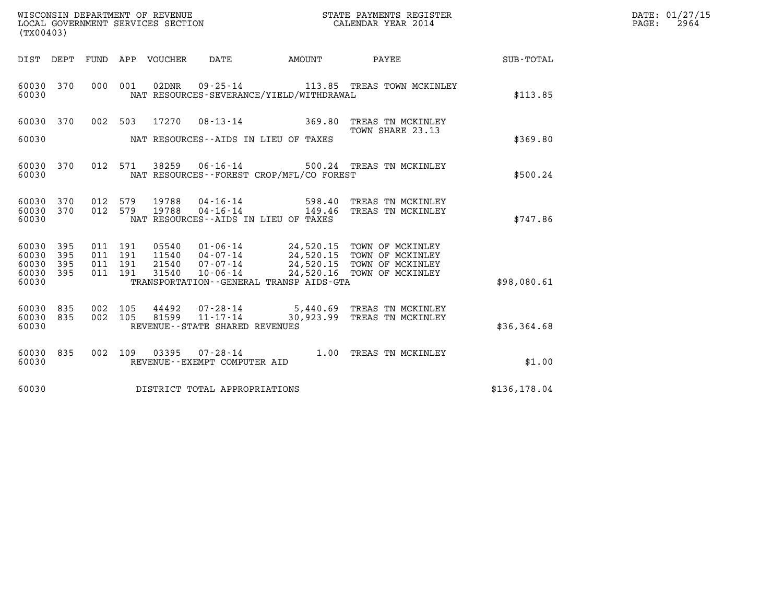| WISCONSIN DEPARTMENT OF REVENUE   | STATE PAYMENTS REGISTER | DATE: 01/27/15 |
|-----------------------------------|-------------------------|----------------|
| LOCAL GOVERNMENT SERVICES SECTION | CALENDAR YEAR 2014      | 2964<br>PAGE:  |

|                             | (TX00403) |                    |         |                        |                                   |                                              | DATE: 01/27/15<br>PAGE:<br>2964                                                                                                                          |               |  |
|-----------------------------|-----------|--------------------|---------|------------------------|-----------------------------------|----------------------------------------------|----------------------------------------------------------------------------------------------------------------------------------------------------------|---------------|--|
|                             |           |                    |         |                        |                                   |                                              | DIST DEPT FUND APP VOUCHER DATE AMOUNT PAYEE SUB-TOTAL                                                                                                   |               |  |
| 60030                       | 60030 370 |                    | 000 001 | 02DNR                  |                                   | NAT RESOURCES-SEVERANCE/YIELD/WITHDRAWAL     | 09-25-14 113.85 TREAS TOWN MCKINLEY                                                                                                                      | \$113.85      |  |
|                             |           |                    |         |                        |                                   |                                              | 60030 370 002 503 17270 08-13-14 369.80 TREAS TN MCKINLEY<br>TOWN SHARE 23.13                                                                            |               |  |
|                             |           |                    |         |                        |                                   |                                              |                                                                                                                                                          | \$369.80      |  |
| 60030                       | 60030 370 |                    |         |                        |                                   | NAT RESOURCES - - FOREST CROP/MFL/CO FOREST  | 012 571 38259 06-16-14 500.24 TREAS TN MCKINLEY                                                                                                          | \$500.24      |  |
| 60030 370                   | 60030 370 |                    | 012 579 | 19788<br>012 579 19788 |                                   |                                              | 04-16-14 598.40 TREAS TN MCKINLEY<br>04-16-14 149.46 TREAS TN MCKINLEY                                                                                   |               |  |
| 60030                       |           |                    |         |                        |                                   | NAT RESOURCES--AIDS IN LIEU OF TAXES         |                                                                                                                                                          | \$747.86      |  |
| 60030 395<br>60030          | 395       | 011 191<br>011 191 |         | 05540<br>11540         |                                   |                                              | 01-06-14 24,520.15 TOWN OF MCKINLEY<br>04-07-14 24,520.15 TOWN OF MCKINLEY<br>07-07-14 24,520.15 TOWN OF MCKINLEY<br>10-06-14 24,520.16 TOWN OF MCKINLEY |               |  |
| 60030<br>60030 395<br>60030 | 395       | 011 191<br>011 191 |         | 21540<br>31540         |                                   | TRANSPORTATION - - GENERAL TRANSP AIDS - GTA |                                                                                                                                                          | \$98,080.61   |  |
|                             |           |                    |         |                        |                                   |                                              |                                                                                                                                                          |               |  |
| 60030 835<br>60030 835      |           |                    | 002 105 | 002 105 44492          |                                   |                                              |                                                                                                                                                          |               |  |
| 60030                       |           |                    |         |                        | REVENUE - - STATE SHARED REVENUES |                                              |                                                                                                                                                          | \$36,364.68   |  |
| 60030<br>60030              | 835       |                    |         |                        | REVENUE--EXEMPT COMPUTER AID      |                                              | 002 109 03395 07-28-14 1.00 TREAS TN MCKINLEY                                                                                                            | \$1.00        |  |
| 60030                       |           |                    |         |                        | DISTRICT TOTAL APPROPRIATIONS     |                                              |                                                                                                                                                          | \$136, 178.04 |  |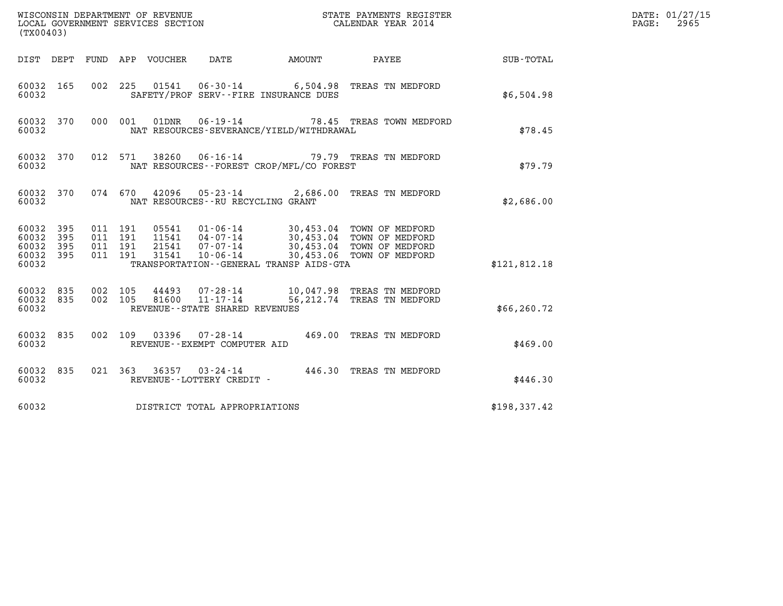| (TX00403)                                                       | WISCONSIN DEPARTMENT OF REVENUE<br>LOCAL GOVERNMENT SERVICES SECTION                                                                                                                                                                                   | STATE PAYMENTS REGISTER<br>CALENDAR YEAR 2014                            | DATE: 01/27/15<br>$\mathtt{PAGE:}$<br>2965 |
|-----------------------------------------------------------------|--------------------------------------------------------------------------------------------------------------------------------------------------------------------------------------------------------------------------------------------------------|--------------------------------------------------------------------------|--------------------------------------------|
| DIST DEPT FUND APP VOUCHER                                      | DATE<br>AMOUNT                                                                                                                                                                                                                                         | PAYEE SUB-TOTAL                                                          |                                            |
| 60032 165<br>60032                                              | 01541  06-30-14  6,504.98  TREAS TN MEDFORD<br>002 225<br>SAFETY/PROF SERV--FIRE INSURANCE DUES                                                                                                                                                        | \$6,504.98                                                               |                                            |
| 60032 370<br>60032                                              | $06 - 19 - 14$<br>000 001<br>01DNR<br>NAT RESOURCES-SEVERANCE/YIELD/WITHDRAWAL                                                                                                                                                                         | 78.45 TREAS TOWN MEDFORD                                                 | \$78.45                                    |
| 60032 370<br>60032                                              | $06 - 16 - 14$<br>012 571<br>38260<br>NAT RESOURCES - - FOREST CROP/MFL/CO FOREST                                                                                                                                                                      | 79.79 TREAS TN MEDFORD                                                   | \$79.79                                    |
| 60032 370<br>60032                                              | 074 670 42096<br>05-23-14 2,686.00 TREAS TN MEDFORD<br>NAT RESOURCES - - RU RECYCLING GRANT                                                                                                                                                            | \$2,686.00                                                               |                                            |
| 60032 395<br>60032<br>395<br>60032<br>395<br>60032 395<br>60032 | 011 191<br>011 191<br>11541  04-07-14<br>21541 07-07-14<br>07-07-14 30,453.04 TOWN OF MEDFORD<br>10-06-14 30.453.04 TOWN OF MEDFORD<br>70-06-14 30.453.06 movem on the state<br>011 191<br>011 191<br>31541<br>TRANSPORTATION--GENERAL TRANSP AIDS-GTA | 30,453.04 TOWN OF MEDFORD<br>30,453.04 TOWN OF MEDFORD<br>\$121,812.18   |                                            |
| 60032 835<br>60032 835<br>60032                                 | $07 - 28 - 14$<br>002 105<br>44493<br>$11 - 17 - 14$<br>002 105<br>81600<br>REVENUE - - STATE SHARED REVENUES                                                                                                                                          | 10,047.98 TREAS TN MEDFORD<br>56,212.74 TREAS TN MEDFORD<br>\$66, 260.72 |                                            |
| 60032 835<br>60032                                              | 002 109 03396 07-28-14<br>REVENUE--EXEMPT COMPUTER AID                                                                                                                                                                                                 | 469.00 TREAS TN MEDFORD                                                  | \$469.00                                   |
| 60032 835<br>60032                                              | 021 363 36357 03-24-14 446.30 TREAS TN MEDFORD<br>REVENUE--LOTTERY CREDIT -                                                                                                                                                                            |                                                                          | \$446.30                                   |
| 60032                                                           | DISTRICT TOTAL APPROPRIATIONS                                                                                                                                                                                                                          | \$198,337.42                                                             |                                            |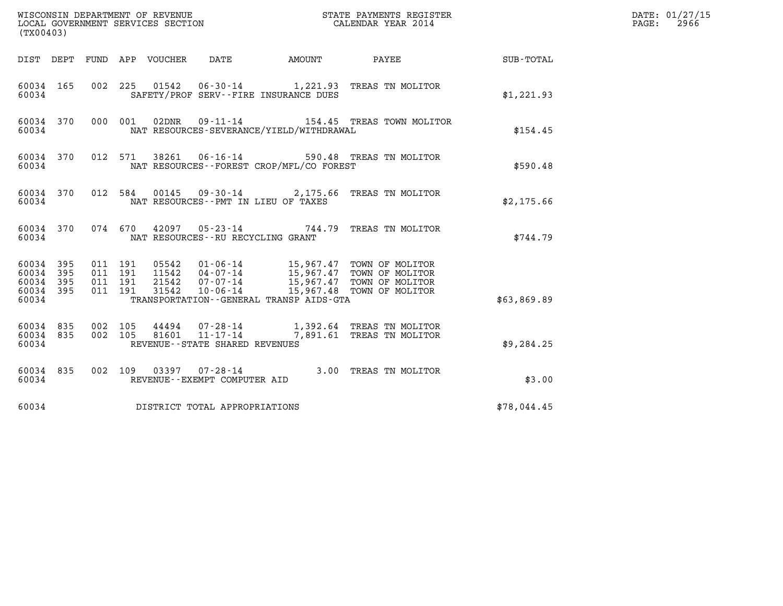| (TX00403)                                                    |                                                                                                                                                       |                        | DATE: 01/27/15<br>$\mathtt{PAGE:}$<br>2966 |
|--------------------------------------------------------------|-------------------------------------------------------------------------------------------------------------------------------------------------------|------------------------|--------------------------------------------|
|                                                              | DIST DEPT FUND APP VOUCHER DATE                                                                                                                       | AMOUNT PAYEE SUB-TOTAL |                                            |
| 60034 165<br>60034                                           | 01542  06-30-14   1,221.93   TREAS TN MOLITOR<br>002 225<br>SAFETY/PROF SERV--FIRE INSURANCE DUES                                                     | \$1,221.93             |                                            |
| 60034 370<br>60034                                           | 000 001 02DNR 09-11-14 154.45 TREAS TOWN MOLITOR<br>NAT RESOURCES-SEVERANCE/YIELD/WITHDRAWAL                                                          | \$154.45               |                                            |
| 60034 370<br>60034                                           | 012 571 38261 06-16-14 590.48 TREAS TN MOLITOR<br>NAT RESOURCES - - FOREST CROP/MFL/CO FOREST                                                         | \$590.48               |                                            |
| 60034                                                        | 60034 370 012 584 00145 09-30-14 2,175.66 TREAS TN MOLITOR<br>NAT RESOURCES -- PMT IN LIEU OF TAXES                                                   | \$2,175.66             |                                            |
| 60034                                                        | 60034 370 074 670 42097 05-23-14 744.79 TREAS TN MOLITOR<br>NAT RESOURCES--RU RECYCLING GRANT                                                         | \$744.79               |                                            |
| 60034 395<br>60034 395<br>395<br>60034<br>60034 395<br>60034 | 011 191<br>011 191<br>011 191<br>011 191<br>TRANSPORTATION--GENERAL TRANSP AIDS-GTA                                                                   | \$63,869.89            |                                            |
| 60034 835<br>60034 835<br>60034                              | 002 105<br>44494  07-28-14   1,392.64 TREAS TN MOLITOR<br>81601  11-17-14   7,891.61 TREAS TN MOLITOR<br>002 105<br>REVENUE - - STATE SHARED REVENUES | \$9,284.25             |                                            |
| 60034 835<br>60034                                           | 002 109 03397 07-28-14 3.00 TREAS TN MOLITOR<br>REVENUE--EXEMPT COMPUTER AID                                                                          | \$3.00                 |                                            |
| 60034                                                        | DISTRICT TOTAL APPROPRIATIONS                                                                                                                         | \$78,044.45            |                                            |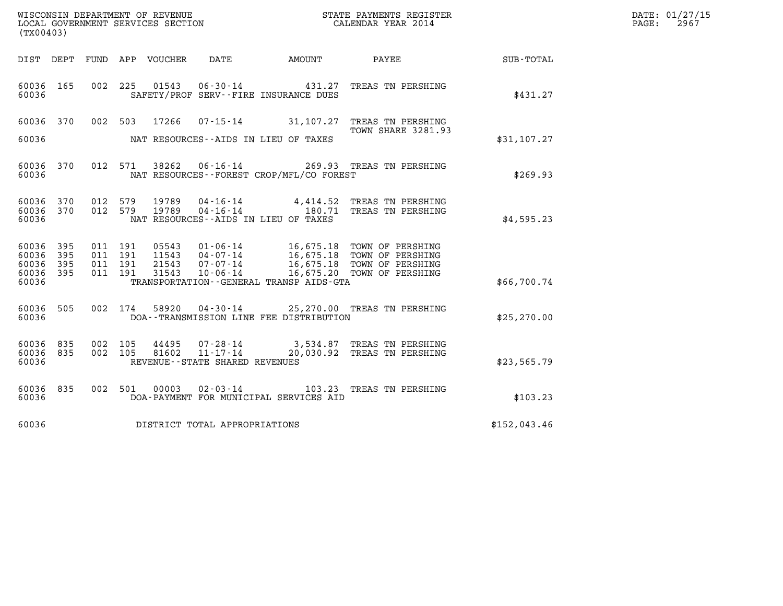| WISCONSIN DEPARTMENT OF REVENUE   | STATE PAYMENTS REGISTER | DATE: 01/27/15 |
|-----------------------------------|-------------------------|----------------|
| LOCAL GOVERNMENT SERVICES SECTION | CALENDAR YEAR 2014      | 2967<br>PAGE:  |

| (TX00403)                                 |                          |                          |                          |                                  |                                                                 |                                                                 |                                                                                                            |                  |  |
|-------------------------------------------|--------------------------|--------------------------|--------------------------|----------------------------------|-----------------------------------------------------------------|-----------------------------------------------------------------|------------------------------------------------------------------------------------------------------------|------------------|--|
| DIST DEPT                                 |                          | FUND                     | APP                      | VOUCHER                          | DATE                                                            | <b>AMOUNT</b>                                                   | PAYEE                                                                                                      | <b>SUB-TOTAL</b> |  |
| 60036<br>60036                            | 165                      | 002                      | 225                      | 01543                            |                                                                 | $06 - 30 - 14$ 431.27<br>SAFETY/PROF SERV--FIRE INSURANCE DUES  | TREAS TN PERSHING                                                                                          | \$431.27         |  |
| 60036<br>60036                            | 370                      | 002                      | 503                      | 17266                            | $07 - 15 - 14$                                                  | 31,107.27<br>NAT RESOURCES--AIDS IN LIEU OF TAXES               | TREAS TN PERSHING<br>TOWN SHARE 3281.93                                                                    | \$31, 107.27     |  |
| 60036<br>60036                            | 370                      | 012                      | 571                      | 38262                            | 06-16-14                                                        | NAT RESOURCES - - FOREST CROP/MFL/CO FOREST                     | 269.93 TREAS TN PERSHING                                                                                   | \$269.93         |  |
| 60036<br>60036<br>60036                   | 370<br>370               | 012<br>012               | 579<br>579               | 19789<br>19789                   | 04-16-14<br>$04 - 16 - 14$                                      | 180.71<br>NAT RESOURCES -- AIDS IN LIEU OF TAXES                | 4,414.52 TREAS TN PERSHING<br>TREAS TN PERSHING                                                            | \$4,595.23       |  |
| 60036<br>60036<br>60036<br>60036<br>60036 | 395<br>395<br>395<br>395 | 011<br>011<br>011<br>011 | 191<br>191<br>191<br>191 | 05543<br>11543<br>21543<br>31543 | $01 - 06 - 14$<br>04-07-14<br>$07 - 07 - 14$<br>$10 - 06 - 14$  | 16,675.18<br>TRANSPORTATION--GENERAL TRANSP AIDS-GTA            | 16,675.18 TOWN OF PERSHING<br>16,675.18 TOWN OF PERSHING<br>TOWN OF PERSHING<br>16,675.20 TOWN OF PERSHING | \$66,700.74      |  |
| 60036<br>60036                            | 505                      | 002                      | 174                      | 58920                            | $04 - 30 - 14$                                                  | DOA--TRANSMISSION LINE FEE DISTRIBUTION                         | 25,270.00 TREAS TN PERSHING                                                                                | \$25, 270.00     |  |
| 60036<br>60036<br>60036                   | 835<br>835               | 002<br>002               | 105<br>105               | 44495<br>81602                   | 07-28-14<br>$11 - 17 - 14$<br>REVENUE - - STATE SHARED REVENUES |                                                                 | 3,534.87 TREAS TN PERSHING<br>20,030.92 TREAS TN PERSHING                                                  | \$23,565.79      |  |
| 60036<br>60036                            | 835                      | 002                      | 501                      | 00003                            |                                                                 | $02 - 03 - 14$ 103.23<br>DOA-PAYMENT FOR MUNICIPAL SERVICES AID | TREAS TN PERSHING                                                                                          | \$103.23         |  |
| 60036                                     |                          |                          |                          |                                  | DISTRICT TOTAL APPROPRIATIONS                                   |                                                                 |                                                                                                            | \$152,043.46     |  |
|                                           |                          |                          |                          |                                  |                                                                 |                                                                 |                                                                                                            |                  |  |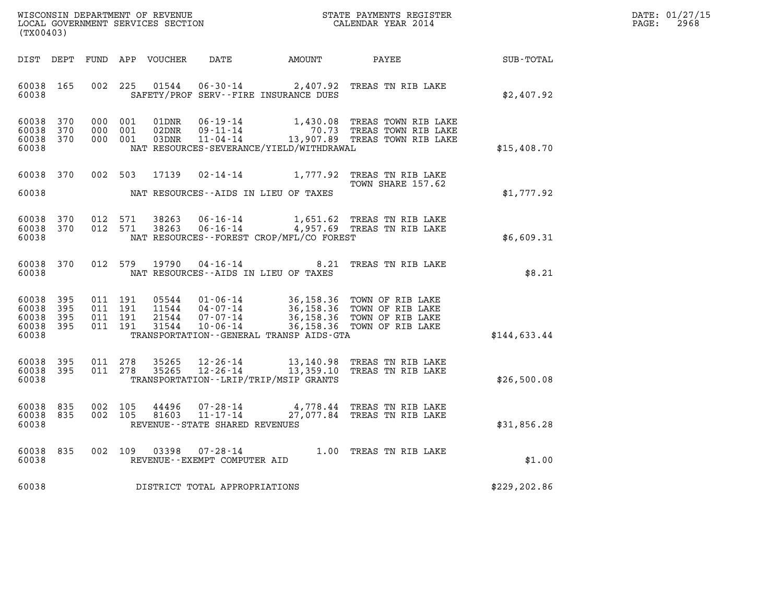| WISCONSIN DEPARTMENT OF REVENUE   | STATE PAYMENTS REGISTER | DATE: 01/27/15 |
|-----------------------------------|-------------------------|----------------|
| LOCAL GOVERNMENT SERVICES SECTION | CALENDAR YEAR 2014      | 2968<br>PAGE:  |

| (TX00403)                                         |            |                                          |                                  |                                                           |                                              | WISCONSIN DEPARTMENT OF REVENUE                               STATE PAYMENTS REGISTER LOCAL GOVERNMENT SERVICES SECTION                               CALENDAR YEAR 2014               |               | DATE: 01/27/15<br>2968<br>PAGE: |
|---------------------------------------------------|------------|------------------------------------------|----------------------------------|-----------------------------------------------------------|----------------------------------------------|----------------------------------------------------------------------------------------------------------------------------------------------------------------------------------------|---------------|---------------------------------|
| DIST DEPT                                         |            |                                          | FUND APP VOUCHER                 |                                                           | DATE AMOUNT                                  | PAYEE                                                                                                                                                                                  | SUB-TOTAL     |                                 |
| 60038<br>60038                                    | 165        | 002 225                                  | 01544                            |                                                           | SAFETY/PROF SERV--FIRE INSURANCE DUES        | 06-30-14 2,407.92 TREAS TN RIB LAKE                                                                                                                                                    | \$2,407.92    |                                 |
| 60038 370<br>60038<br>60038<br>60038              | 370<br>370 | 000 001<br>000 001<br>000 001            | 01DNR<br>02DNR<br>03DNR          |                                                           | NAT RESOURCES-SEVERANCE/YIELD/WITHDRAWAL     | 06-19-14 1,430.08 TREAS TOWN RIB LAKE<br>09-11-14 70.73 TREAS TOWN RIB LAKE<br>11-04-14 13,907.89 TREAS TOWN RIB LAKE                                                                  | \$15,408.70   |                                 |
| 60038 370<br>60038                                |            | 002 503                                  | 17139                            |                                                           | NAT RESOURCES--AIDS IN LIEU OF TAXES         | 02-14-14 1,777.92 TREAS TN RIB LAKE<br>TOWN SHARE 157.62                                                                                                                               | \$1,777.92    |                                 |
| 60038<br>60038 370<br>60038                       | 370        | 012 571<br>012 571                       | 38263<br>38263                   |                                                           | NAT RESOURCES--FOREST CROP/MFL/CO FOREST     | 06-16-14 1,651.62 TREAS TN RIB LAKE<br>06-16-14 4,957.69 TREAS TN RIB LAKE                                                                                                             | \$6,609.31    |                                 |
| 60038 370<br>60038                                |            |                                          | 012 579 19790                    |                                                           | NAT RESOURCES--AIDS IN LIEU OF TAXES         | 04-16-14 8.21 TREAS TN RIB LAKE                                                                                                                                                        | \$8.21        |                                 |
| 60038<br>60038<br>60038 395<br>60038 395<br>60038 | 395<br>395 | 011 191<br>011 191<br>011 191<br>011 191 | 05544<br>11544<br>21544<br>31544 |                                                           | TRANSPORTATION - - GENERAL TRANSP AIDS - GTA | 01-06-14 36,158.36 TOWN OF RIB LAKE<br>04-07-14 36,158.36 TOWN OF RIB LAKE<br>07-07-14 36,158.36 TOWN OF RIB LAKE<br>10-06-14 36,158.36 TOWN OF RIB LAKE<br>36,158.36 TOWN OF RIB LAKE | \$144,633.44  |                                 |
| 60038<br>60038<br>60038                           | 395<br>395 | 011 278<br>011 278                       | 35265<br>35265                   |                                                           | TRANSPORTATION - - LRIP/TRIP/MSIP GRANTS     | 12-26-14 13,140.98 TREAS TN RIB LAKE<br>12-26-14 13,359.10 TREAS TN RIB LAKE                                                                                                           | \$26,500.08   |                                 |
| 60038 835<br>60038 835<br>60038                   |            | 002 105<br>002 105                       | 44496<br>81603                   | 07-28-14<br>11-17-14<br>REVENUE - - STATE SHARED REVENUES |                                              | 4,778.44 TREAS TN RIB LAKE<br>27,077.84 TREAS TN RIB LAKE                                                                                                                              | \$31,856.28   |                                 |
| 60038<br>60038                                    | 835        | 002 109                                  | 03398                            | REVENUE--EXEMPT COMPUTER AID                              |                                              | 07-28-14 1.00 TREAS TN RIB LAKE                                                                                                                                                        | \$1.00        |                                 |
| 60038                                             |            |                                          |                                  | DISTRICT TOTAL APPROPRIATIONS                             |                                              |                                                                                                                                                                                        | \$229, 202.86 |                                 |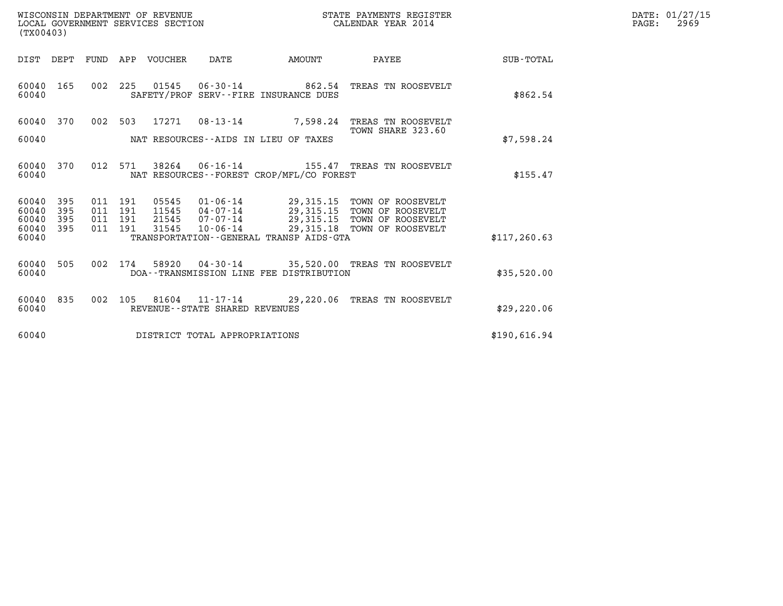| WISCONSIN DEPARTMENT OF REVENUE   | STATE PAYMENTS REGISTER | DATE: 01/27/15 |
|-----------------------------------|-------------------------|----------------|
| LOCAL GOVERNMENT SERVICES SECTION | CALENDAR YEAR 2014      | 2969<br>PAGE:  |

| DIST<br>DEPT<br>FUND<br>VOUCHER<br>DATE<br>AMOUNT<br>PAYEE<br>APP                                                                                                                                                                                                                                                                                                                                                | SUB-TOTAL     |  |
|------------------------------------------------------------------------------------------------------------------------------------------------------------------------------------------------------------------------------------------------------------------------------------------------------------------------------------------------------------------------------------------------------------------|---------------|--|
| 002<br>01545<br>06-30-14 862.54<br>60040<br>165<br>225<br>TREAS TN ROOSEVELT<br>SAFETY/PROF SERV--FIRE INSURANCE DUES<br>60040                                                                                                                                                                                                                                                                                   | \$862.54      |  |
| 002<br>17271<br>$08 - 13 - 14$<br>60040<br>370<br>503<br>7,598.24<br>TREAS TN ROOSEVELT<br>TOWN SHARE 323.60<br>60040<br>NAT RESOURCES--AIDS IN LIEU OF TAXES                                                                                                                                                                                                                                                    | \$7,598.24    |  |
| 60040<br>370<br>012<br>571<br>38264<br>$06 - 16 - 14$<br>155.47 TREAS TN ROOSEVELT<br>NAT RESOURCES - - FOREST CROP/MFL/CO FOREST<br>60040                                                                                                                                                                                                                                                                       | \$155.47      |  |
| 60040<br>395<br>011<br>191<br>05545<br>01-06-14<br>29,315.15<br>TOWN OF ROOSEVELT<br>11545<br>$04 - 07 - 14$<br>29,315.15<br>60040<br>395<br>011<br>191<br>TOWN OF ROOSEVELT<br>$07 - 07 - 14$<br>29,315.15 TOWN OF ROOSEVELT<br>395<br>191<br>21545<br>60040<br>011<br>$10 - 06 - 14$<br>29,315.18 TOWN OF ROOSEVELT<br>395<br>31545<br>60040<br>011<br>191<br>60040<br>TRANSPORTATION--GENERAL TRANSP AIDS-GTA | \$117, 260.63 |  |
| 60040<br>505<br>002<br>174<br>58920<br>04-30-14 35,520.00 TREAS TN ROOSEVELT<br>60040<br>DOA--TRANSMISSION LINE FEE DISTRIBUTION                                                                                                                                                                                                                                                                                 | \$35,520.00   |  |
| 835<br>002<br>81604<br>11-17-14 29,220.06 TREAS TN ROOSEVELT<br>60040<br>105<br>60040<br>REVENUE - - STATE SHARED REVENUES                                                                                                                                                                                                                                                                                       | \$29, 220.06  |  |
| 60040<br>DISTRICT TOTAL APPROPRIATIONS                                                                                                                                                                                                                                                                                                                                                                           | \$190,616.94  |  |

LOCAL GOVERNMENT SERVICES SECTION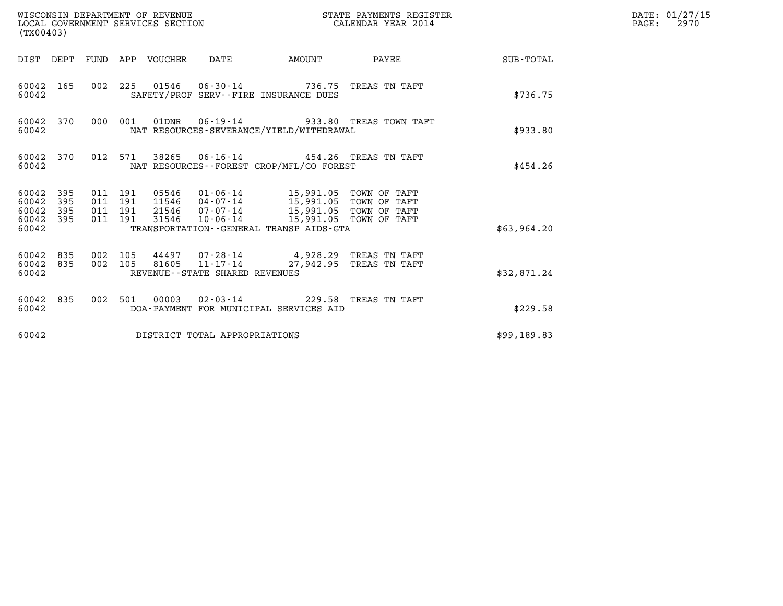| WISCONSIN DEPARTMENT OF REVENUE<br>(TX00403)                                                             | WISCONSIN DEPARTMENT OF REVENUE<br>LOCAL GOVERNMENT SERVICES SECTION                                 | STATE PAYMENTS REGISTER<br>CALENDAR YEAR 2014 |             | DATE: 01/27/15<br>$\mathtt{PAGE:}$<br>2970 |
|----------------------------------------------------------------------------------------------------------|------------------------------------------------------------------------------------------------------|-----------------------------------------------|-------------|--------------------------------------------|
| DIST DEPT FUND APP VOUCHER DATE                                                                          | AMOUNT                                                                                               | PAYEE SUB-TOTAL                               |             |                                            |
| 60042 165<br>60042                                                                                       | 002 225 01546 06-30-14 736.75 TREAS TN TAFT<br>SAFETY/PROF SERV--FIRE INSURANCE DUES                 |                                               | \$736.75    |                                            |
| 60042 370<br>000 001<br>60042                                                                            | 01DNR  06-19-14  933.80 TREAS TOWN TAFT<br>NAT RESOURCES-SEVERANCE/YIELD/WITHDRAWAL                  |                                               | \$933.80    |                                            |
| 60042 370<br>60042                                                                                       | 012 571 38265 06-16-14 454.26 TREAS TN TAFT<br>NAT RESOURCES--FOREST CROP/MFL/CO FOREST              |                                               | \$454.26    |                                            |
| 60042 395<br>011 191<br>60042<br>395<br>011 191<br>60042 395<br>011 191<br>60042 395<br>011 191<br>60042 | 31546<br>TRANSPORTATION - - GENERAL TRANSP AIDS - GTA                                                | 10-06-14 15,991.05 TOWN OF TAFT               | \$63,964.20 |                                            |
| 60042 835<br>002 105<br>002 105<br>60042 835<br>60042                                                    | 44497 07-28-14 4,928.29 TREAS TN TAFT<br>$81605$ $11 - 17 - 14$<br>REVENUE - - STATE SHARED REVENUES | 27,942.95 TREAS TN TAFT                       | \$32,871.24 |                                            |
| 60042 835<br>60042                                                                                       | 002 501 00003 02-03-14 229.58 TREAS TN TAFT<br>DOA-PAYMENT FOR MUNICIPAL SERVICES AID                |                                               | \$229.58    |                                            |
| 60042                                                                                                    | DISTRICT TOTAL APPROPRIATIONS                                                                        |                                               | \$99,189.83 |                                            |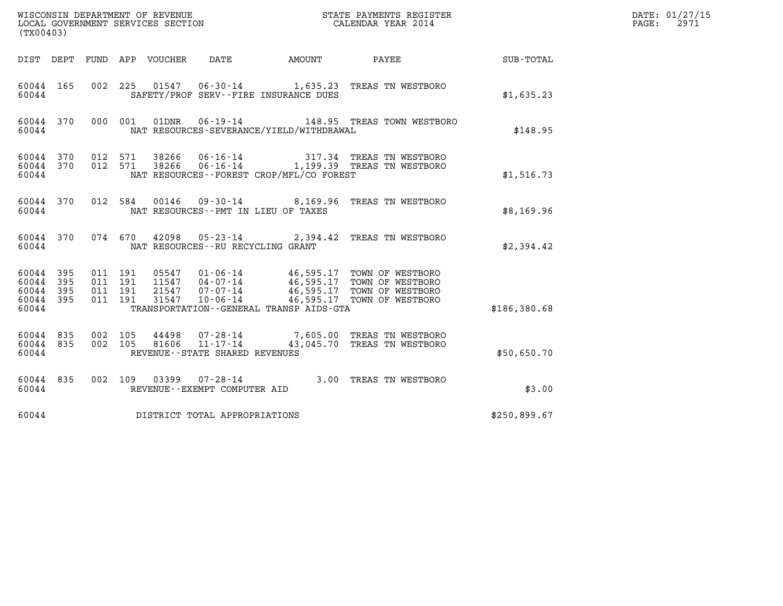| (TX00403)                                     |                     |                                          | WISCONSIN DEPARTMENT OF REVENUE<br>LOCAL GOVERNMENT SERVICES SECTION |                                                              |                                              | STATE PAYMENTS REGISTER<br>CALENDAR YEAR 2014                                                                                                      |              | DATE: 01/27/15<br>2971<br>PAGE: |
|-----------------------------------------------|---------------------|------------------------------------------|----------------------------------------------------------------------|--------------------------------------------------------------|----------------------------------------------|----------------------------------------------------------------------------------------------------------------------------------------------------|--------------|---------------------------------|
| DIST DEPT                                     |                     |                                          | FUND APP VOUCHER                                                     | DATE                                                         | AMOUNT                                       | PAYEE                                                                                                                                              | SUB-TOTAL    |                                 |
| 60044 165<br>60044                            |                     | 002 225                                  |                                                                      |                                                              | SAFETY/PROF SERV--FIRE INSURANCE DUES        | 01547  06-30-14   1,635.23   TREAS TN WESTBORO                                                                                                     | \$1,635.23   |                                 |
| 60044 370<br>60044                            |                     | 000 001                                  | 01DNR                                                                | 06-19-14                                                     | NAT RESOURCES-SEVERANCE/YIELD/WITHDRAWAL     | 148.95 TREAS TOWN WESTBORO                                                                                                                         | \$148.95     |                                 |
| 60044 370<br>60044 370<br>60044               |                     | 012 571<br>012 571                       | 38266<br>38266                                                       |                                                              | NAT RESOURCES--FOREST CROP/MFL/CO FOREST     | 06-16-14 317.34 TREAS TN WESTBORO<br>06-16-14 1,199.39 TREAS TN WESTBORO                                                                           | \$1,516.73   |                                 |
| 60044 370<br>60044                            |                     |                                          | 012 584                                                              | NAT RESOURCES -- PMT IN LIEU OF TAXES                        |                                              | 00146  09-30-14  8,169.96  TREAS TN WESTBORO                                                                                                       | \$8,169.96   |                                 |
| 60044 370<br>60044                            |                     |                                          | 074 670<br>42098                                                     | NAT RESOURCES -- RU RECYCLING GRANT                          |                                              | 05-23-14 2,394.42 TREAS TN WESTBORO                                                                                                                | \$2,394.42   |                                 |
| 60044 395<br>60044<br>60044<br>60044<br>60044 | 395<br>- 395<br>395 | 011 191<br>011 191<br>011 191<br>011 191 | 21547<br>31547                                                       | 11547 04-07-14<br>07-07-14<br>10-06-14                       | TRANSPORTATION - - GENERAL TRANSP AIDS - GTA | 05547 01-06-14 46,595.17 TOWN OF WESTBORO<br>11547 04-07-14 46,595.17 TOWN OF WESTBORO<br>46,595.17 TOWN OF WESTBORO<br>46,595.17 TOWN OF WESTBORO | \$186,380.68 |                                 |
| 60044 835<br>60044 835<br>60044               |                     | 002 105<br>002 105                       | 44498<br>81606                                                       | 07-28-14<br>$11 - 17 - 14$<br>REVENUE--STATE SHARED REVENUES |                                              | 7,605.00 TREAS TN WESTBORO<br>43,045.70 TREAS TN WESTBORO                                                                                          | \$50,650.70  |                                 |
| 60044 835<br>60044                            |                     |                                          | 002 109                                                              | $03399007 - 28 - 14$<br>REVENUE--EXEMPT COMPUTER AID         |                                              | 3.00 TREAS TN WESTBORO                                                                                                                             | \$3.00       |                                 |
| 60044                                         |                     |                                          | DISTRICT TOTAL APPROPRIATIONS                                        |                                                              |                                              |                                                                                                                                                    | \$250,899.67 |                                 |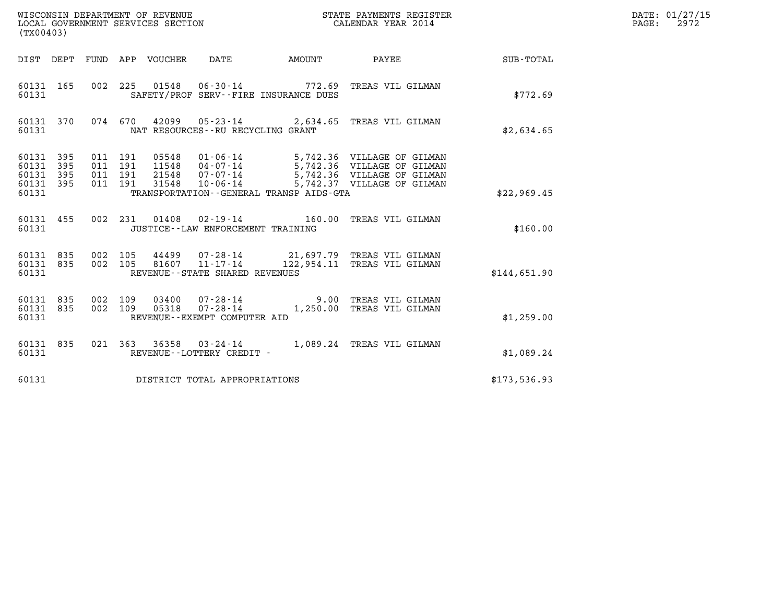| (TX00403)                       |                                                                                                                                                                                                                                                                                                                                   |                    |  |  |                                                     |  |                                                                                       |              | DATE: 01/27/15<br>$\mathtt{PAGE:}$<br>2972 |
|---------------------------------|-----------------------------------------------------------------------------------------------------------------------------------------------------------------------------------------------------------------------------------------------------------------------------------------------------------------------------------|--------------------|--|--|-----------------------------------------------------|--|---------------------------------------------------------------------------------------|--------------|--------------------------------------------|
|                                 |                                                                                                                                                                                                                                                                                                                                   |                    |  |  |                                                     |  | DIST DEPT FUND APP VOUCHER DATE AMOUNT PAYEE TOTAL                                    |              |                                            |
| 60131 165<br>60131              |                                                                                                                                                                                                                                                                                                                                   |                    |  |  | SAFETY/PROF SERV--FIRE INSURANCE DUES               |  | 002 225 01548 06-30-14 772.69 TREAS VIL GILMAN                                        | \$772.69     |                                            |
| 60131                           | 60131 370                                                                                                                                                                                                                                                                                                                         |                    |  |  | NAT RESOURCES - - RU RECYCLING GRANT                |  | 074 670 42099 05-23-14 2,634.65 TREAS VIL GILMAN                                      | \$2,634.65   |                                            |
| 60131<br>60131                  | 60131 395<br>01-06-14 5,742.36 VILLAGE OF GILMAN<br>04-07-14 5,742.36 VILLAGE OF GILMAN<br>07-07-14 5,742.36 VILLAGE OF GILMAN<br>10-06-14 5,742.37 VILLAGE OF GILMAN<br>011 191<br>05548<br>395<br>011 191<br>11548<br>60131 395<br>011 191<br>21548<br>60131 395<br>011 191<br>31548<br>TRANSPORTATION--GENERAL TRANSP AIDS-GTA |                    |  |  |                                                     |  | \$22,969.45                                                                           |              |                                            |
| 60131                           | 60131 455                                                                                                                                                                                                                                                                                                                         |                    |  |  | JUSTICE - - LAW ENFORCEMENT TRAINING                |  | 002 231 01408 02-19-14 160.00 TREAS VIL GILMAN                                        | \$160.00     |                                            |
| 60131 835<br>60131 835<br>60131 |                                                                                                                                                                                                                                                                                                                                   | 002 105<br>002 105 |  |  | 81607 11-17-14<br>REVENUE - - STATE SHARED REVENUES |  | 44499 07-28-14 21,697.79 TREAS VIL GILMAN<br>122,954.11 TREAS VIL GILMAN              | \$144,651.90 |                                            |
| 60131 835<br>60131 835<br>60131 |                                                                                                                                                                                                                                                                                                                                   | 002 109<br>002 109 |  |  | REVENUE--EXEMPT COMPUTER AID                        |  | 03400  07-28-14  9.00 TREAS VIL GILMAN<br>05318  07-28-14   1,250.00 TREAS VIL GILMAN | \$1,259.00   |                                            |
| 60131 835<br>60131              |                                                                                                                                                                                                                                                                                                                                   |                    |  |  | REVENUE--LOTTERY CREDIT -                           |  | 021 363 36358 03-24-14 1,089.24 TREAS VIL GILMAN                                      | \$1,089.24   |                                            |
| 60131                           |                                                                                                                                                                                                                                                                                                                                   |                    |  |  | DISTRICT TOTAL APPROPRIATIONS                       |  |                                                                                       | \$173,536.93 |                                            |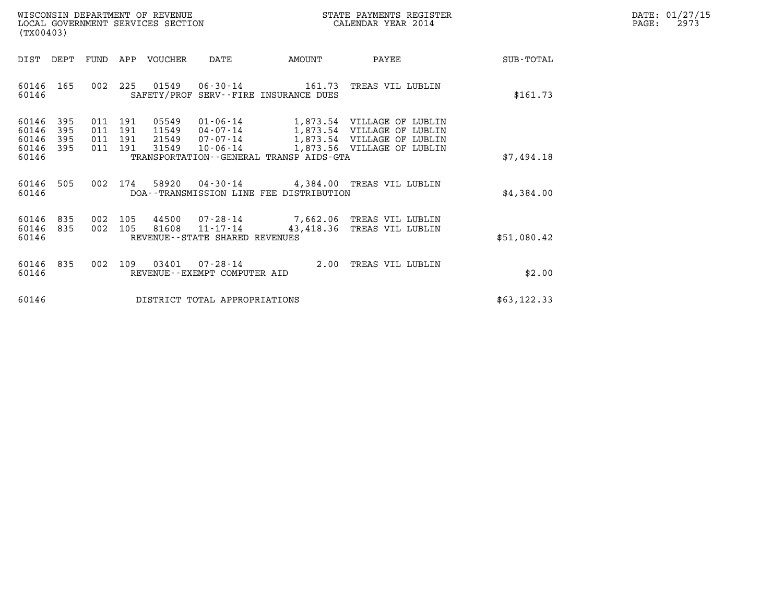| WISCONSIN DEPARTMENT OF REVENUE<br>LOCAL GOVERNMENT SERVICES SECTION | STATE PAYMENTS REGISTER<br>CALENDAR YEAR 2014 | DATE: 01/27/15<br>2973<br>PAGE: |
|----------------------------------------------------------------------|-----------------------------------------------|---------------------------------|

| (TX00403)                                                             |                   | WISCONSIN DEPARTMENT OF REVENUE<br>LOCAL GOVERNMENT SERVICES SECTION |                                              |                                                                        | STATE PAYMENTS REGISTER<br>CALENDAR YEAR 2014                                                                        |             | DATE: 01/27/15<br>$\mathtt{PAGE:}$<br>2973 |
|-----------------------------------------------------------------------|-------------------|----------------------------------------------------------------------|----------------------------------------------|------------------------------------------------------------------------|----------------------------------------------------------------------------------------------------------------------|-------------|--------------------------------------------|
|                                                                       |                   | DIST DEPT FUND APP VOUCHER                                           | DATE                                         | <b>AMOUNT</b>                                                          | PAYEE                                                                                                                | SUB-TOTAL   |                                            |
| 60146 165<br>60146                                                    |                   |                                                                      |                                              | 002 225 01549 06-30-14 161.73<br>SAFETY/PROF SERV--FIRE INSURANCE DUES | TREAS VIL LUBLIN                                                                                                     | \$161.73    |                                            |
| 60146<br>395<br>60146<br>395<br>60146<br>395<br>60146<br>395<br>60146 | 011<br>011<br>011 | 05549<br>191<br>191<br>11549<br>011 191<br>21549<br>191<br>31549     | 01-06-14<br>04-07-14<br>07-07-14<br>10-06-14 | TRANSPORTATION - - GENERAL TRANSP AIDS - GTA                           | 1,873.54 VILLAGE OF LUBLIN<br>1,873.54 VILLAGE OF LUBLIN<br>1,873.54 VILLAGE OF LUBLIN<br>1,873.56 VILLAGE OF LUBLIN | \$7,494.18  |                                            |
| 505<br>60146<br>60146                                                 |                   |                                                                      |                                              | DOA--TRANSMISSION LINE FEE DISTRIBUTION                                | 002 174 58920 04-30-14 4,384.00 TREAS VIL LUBLIN                                                                     | \$4,384.00  |                                            |
| 60146<br>835<br>60146<br>835<br>60146                                 |                   | 002 105<br>81608                                                     | 11-17-14<br>REVENUE--STATE SHARED REVENUES   | 43,418.36                                                              | 002 105 44500 07-28-14 7,662.06 TREAS VIL LUBLIN<br>TREAS VIL LUBLIN                                                 | \$51,080.42 |                                            |
| 60146 835<br>60146                                                    |                   |                                                                      | REVENUE - - EXEMPT COMPUTER AID              |                                                                        | 002 109 03401 07-28-14 2.00 TREAS VIL LUBLIN                                                                         | \$2.00      |                                            |
| 60146                                                                 |                   | DISTRICT TOTAL APPROPRIATIONS                                        |                                              |                                                                        |                                                                                                                      | \$63,122.33 |                                            |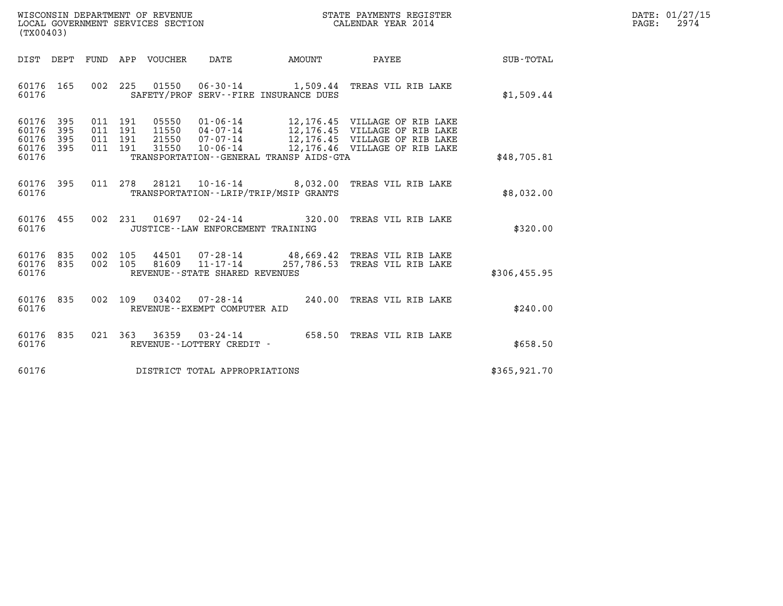| WISCONSIN DEPARTMENT OF REVENUE   | STATE PAYMENTS REGISTER | DATE: 01/27/15 |
|-----------------------------------|-------------------------|----------------|
| LOCAL GOVERNMENT SERVICES SECTION | CALENDAR YEAR 2014      | 2974<br>PAGE:  |

| (TX00403)                                                                                         |                                                                                                                                                                                                                                                                                                               |                                    |
|---------------------------------------------------------------------------------------------------|---------------------------------------------------------------------------------------------------------------------------------------------------------------------------------------------------------------------------------------------------------------------------------------------------------------|------------------------------------|
| DIST<br>DEPT<br>FUND                                                                              | APP<br>VOUCHER<br>DATE<br>AMOUNT<br>PAYEE                                                                                                                                                                                                                                                                     | <b>SUB-TOTAL</b>                   |
| 002<br>60176<br>165<br>60176                                                                      | 225<br>01550<br>06-30-14 1,509.44 TREAS VIL RIB LAKE<br>SAFETY/PROF SERV--FIRE INSURANCE DUES                                                                                                                                                                                                                 | \$1,509.44                         |
| 60176<br>395<br>011<br>395<br>60176<br>011<br>395<br>011<br>60176<br>011<br>60176<br>395<br>60176 | 05550<br>$01 - 06 - 14$<br>191<br>12,176.45 VILLAGE OF RIB LAKE<br>191<br>11550<br>12,176.45 VILLAGE OF RIB LAKE<br>04-07-14<br>191<br>21550<br>$07 - 07 - 14$<br>12,176.45 VILLAGE OF RIB LAKE<br>191<br>31550<br>$10 - 06 - 14$<br>12,176.46 VILLAGE OF RIB LAKE<br>TRANSPORTATION--GENERAL TRANSP AIDS-GTA | \$48,705.81                        |
| 011<br>60176<br>395<br>60176                                                                      | 278<br>28121<br>$10 - 16 - 14$ 8,032.00<br>TRANSPORTATION - - LRIP/TRIP/MSIP GRANTS                                                                                                                                                                                                                           | TREAS VIL RIB LAKE<br>\$8,032.00   |
| 002<br>60176<br>455<br>60176                                                                      | 231<br>01697<br>$02 - 24 - 14$<br>320.00<br>JUSTICE - - LAW ENFORCEMENT TRAINING                                                                                                                                                                                                                              | TREAS VIL RIB LAKE<br>\$320.00     |
| 60176<br>835<br>002<br>002<br>60176<br>835<br>60176                                               | 105<br>$07 - 28 - 14$<br>48,669.42 TREAS VIL RIB LAKE<br>44501<br>105<br>81609<br>$11 - 17 - 14$<br>257,786.53<br>REVENUE - - STATE SHARED REVENUES                                                                                                                                                           | TREAS VIL RIB LAKE<br>\$306,455.95 |
| 835<br>002<br>60176<br>60176                                                                      | 109<br>03402<br>07-28-14<br>240.00<br>REVENUE--EXEMPT COMPUTER AID                                                                                                                                                                                                                                            | TREAS VIL RIB LAKE<br>\$240.00     |
| 835<br>021<br>60176<br>60176                                                                      | 363<br>36359<br>$03 - 24 - 14$<br>658.50<br>REVENUE--LOTTERY CREDIT -                                                                                                                                                                                                                                         | TREAS VIL RIB LAKE<br>\$658.50     |
| 60176                                                                                             | DISTRICT TOTAL APPROPRIATIONS                                                                                                                                                                                                                                                                                 | \$365,921.70                       |

(TX00403)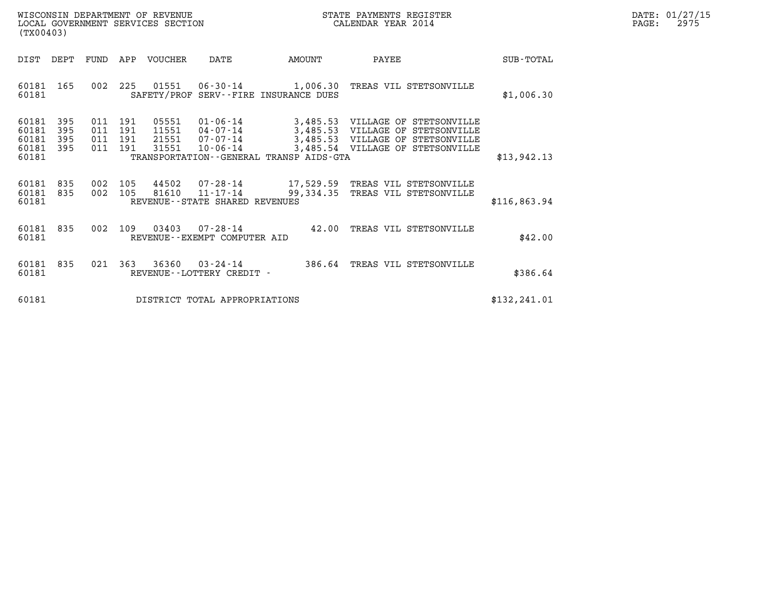| WISCONSIN DEPARTMENT OF REVENUE   | STATE PAYMENTS REGISTER | DATE: 01/27/15 |
|-----------------------------------|-------------------------|----------------|
| LOCAL GOVERNMENT SERVICES SECTION | CALENDAR YEAR 2014      | 2975<br>PAGE:  |

| WISCONSIN DEPARTMENT OF REVENUE<br>LOCAL GOVERNMENT SERVICES SECTION<br>(TX00403) |                          |                   |                              |                                  |                                                          |                                                                  | STATE PAYMENTS REGISTER<br>CALENDAR YEAR 2014                                                                                       |               | DATE: 01/27/15<br>PAGE:<br>2975 |
|-----------------------------------------------------------------------------------|--------------------------|-------------------|------------------------------|----------------------------------|----------------------------------------------------------|------------------------------------------------------------------|-------------------------------------------------------------------------------------------------------------------------------------|---------------|---------------------------------|
| DIST DEPT                                                                         |                          |                   |                              | FUND APP VOUCHER                 | DATE                                                     | <b>AMOUNT</b>                                                    | PAYEE                                                                                                                               | SUB-TOTAL     |                                 |
| 60181 165<br>60181                                                                |                          |                   |                              | 002 225 01551                    |                                                          | $06 - 30 - 14$ 1,006.30<br>SAFETY/PROF SERV--FIRE INSURANCE DUES | TREAS VIL STETSONVILLE                                                                                                              | \$1,006.30    |                                 |
| 60181<br>60181<br>60181<br>60181<br>60181                                         | 395<br>395<br>395<br>395 | 011<br>011<br>011 | 011 191<br>191<br>191<br>191 | 05551<br>11551<br>21551<br>31551 | 01-06-14<br>$04 - 07 - 14$<br>07-07-14<br>$10 - 06 - 14$ | 3,485.53<br>TRANSPORTATION - - GENERAL TRANSP AIDS - GTA         | 3,485.53 VILLAGE OF STETSONVILLE<br>VILLAGE OF STETSONVILLE<br>3,485.53 VILLAGE OF STETSONVILLE<br>3,485.54 VILLAGE OF STETSONVILLE | \$13,942.13   |                                 |
| 60181<br>60181 835<br>60181                                                       | 835                      |                   | 002 105<br>002 105           | 44502<br>81610                   | $11 - 17 - 14$<br>REVENUE--STATE SHARED REVENUES         | 99,334.35                                                        | 07-28-14 17,529.59 TREAS VIL STETSONVILLE<br>TREAS VIL STETSONVILLE                                                                 | \$116,863.94  |                                 |
| 60181 835<br>60181                                                                |                          |                   |                              | 002 109 03403                    | 07-28-14<br>REVENUE--EXEMPT COMPUTER AID                 |                                                                  | 42.00 TREAS VIL STETSONVILLE                                                                                                        | \$42.00       |                                 |
| 60181 835<br>60181                                                                |                          |                   |                              | 021 363 36360                    | REVENUE - - LOTTERY CREDIT -                             |                                                                  | 03-24-14 386.64 TREAS VIL STETSONVILLE                                                                                              | \$386.64      |                                 |
| 60181                                                                             |                          |                   |                              |                                  | DISTRICT TOTAL APPROPRIATIONS                            |                                                                  |                                                                                                                                     | \$132, 241.01 |                                 |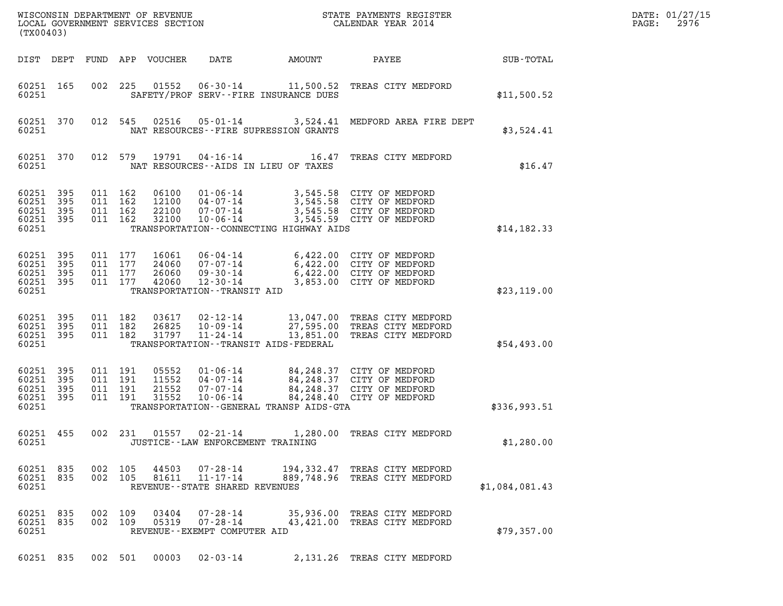| WISCONSIN DEPARTMENT OF REVENUE<br>LOCAL GOVERNMENT SERVICES SECTION<br>(TX00403) |                                               |                            |  |                                          |                                  |                                                                                      |                                           | STATE PAYMENTS REGISTER<br>CALENDAR YEAR 2014                                                                                                |                |
|-----------------------------------------------------------------------------------|-----------------------------------------------|----------------------------|--|------------------------------------------|----------------------------------|--------------------------------------------------------------------------------------|-------------------------------------------|----------------------------------------------------------------------------------------------------------------------------------------------|----------------|
|                                                                                   | DIST DEPT                                     |                            |  |                                          | FUND APP VOUCHER                 | DATE                                                                                 | AMOUNT                                    | PAYEE                                                                                                                                        | SUB-TOTAL      |
|                                                                                   | 60251 165<br>60251                            |                            |  | 002 225                                  | 01552                            |                                                                                      | SAFETY/PROF SERV--FIRE INSURANCE DUES     | 06-30-14 11,500.52 TREAS CITY MEDFORD                                                                                                        | \$11,500.52    |
|                                                                                   | 60251 370<br>60251                            |                            |  | 012 545                                  | 02516                            |                                                                                      | NAT RESOURCES -- FIRE SUPRESSION GRANTS   | 05-01-14 3,524.41 MEDFORD AREA FIRE DEPT                                                                                                     | \$3,524.41     |
|                                                                                   | 60251 370<br>60251                            |                            |  | 012 579                                  | 19791                            |                                                                                      | NAT RESOURCES--AIDS IN LIEU OF TAXES      | 04-16-14 16.47 TREAS CITY MEDFORD                                                                                                            | \$16.47        |
|                                                                                   | 60251<br>60251<br>60251<br>60251<br>60251     | 395<br>395<br>395<br>- 395 |  | 011 162<br>011 162<br>011 162<br>011 162 | 06100<br>12100<br>22100<br>32100 | $01 - 06 - 14$<br>$04 - 07 - 14$<br>$07 - 07 - 14$<br>$10 - 06 - 14$                 | TRANSPORTATION--CONNECTING HIGHWAY AIDS   | 3,545.58 CITY OF MEDFORD<br>3,545.58 CITY OF MEDFORD<br>3,545.58 CITY OF MEDFORD<br>3,545.59 CITY OF MEDFORD                                 | \$14,182.33    |
|                                                                                   | 60251<br>60251<br>60251<br>60251 395<br>60251 | 395<br>395<br>395          |  | 011 177<br>011 177<br>011 177<br>011 177 | 16061<br>24060<br>26060<br>42060 | 06-04-14<br>07-07-14<br>09-30-14<br>$12 - 30 - 14$<br>TRANSPORTATION - - TRANSIT AID |                                           | اباس (422.00 CITY OF MEDFORD<br>6.422.00 CITY OF MEDECTE<br>6,422.00 CITY OF MEDFORD<br>6,422.00 CITY OF MEDFORD<br>3,853.00 CITY OF MEDFORD | \$23,119.00    |
|                                                                                   | 60251 395<br>60251<br>60251<br>60251          | 395<br>395                 |  | 011 182<br>011 182<br>011 182            | 03617<br>26825<br>31797          | 10-09-14<br>$11 - 24 - 14$                                                           | TRANSPORTATION - - TRANSIT AIDS - FEDERAL | 02-12-14 13,047.00 TREAS CITY MEDFORD<br>27,595.00 TREAS CITY MEDFORD<br>13,851.00 TREAS CITY MEDFORD                                        | \$54,493.00    |
|                                                                                   | 60251<br>60251<br>60251<br>60251<br>60251     | 395<br>395<br>395<br>- 395 |  | 011 191<br>011 191<br>011 191<br>011 191 | 05552<br>11552<br>21552<br>31552 | $04 - 07 - 14$<br>$07 - 07 - 14$<br>$10 - 06 - 14$                                   | TRANSPORTATION--GENERAL TRANSP AIDS-GTA   | 01-06-14 84,248.37 CITY OF MEDFORD<br>84, 248.37 CITY OF MEDFORD<br>84, 248.37 CITY OF MEDFORD<br>84, 248.40 CITY OF MEDFORD                 | \$336,993.51   |
|                                                                                   | 60251 455<br>60251                            |                            |  | 002 231                                  |                                  | JUSTICE - - LAW ENFORCEMENT TRAINING                                                 |                                           | 01557  02-21-14  1,280.00  TREAS CITY MEDFORD                                                                                                | \$1,280.00     |
|                                                                                   | 60251 835<br>60251 835<br>60251               |                            |  | 002 105<br>002 105                       | 44503<br>81611                   | 07-28-14<br>$11 - 17 - 14$<br>REVENUE - - STATE SHARED REVENUES                      |                                           | 194,332.47 TREAS CITY MEDFORD<br>889,748.96 TREAS CITY MEDFORD                                                                               | \$1,084,081.43 |
|                                                                                   | 60251 835<br>60251 835<br>60251               |                            |  | 002 109<br>002 109                       | 03404<br>05319                   | $07 - 28 - 14$<br>$07 - 28 - 14$<br>REVENUE--EXEMPT COMPUTER AID                     |                                           | 35,936.00 TREAS CITY MEDFORD<br>43,421.00 TREAS CITY MEDFORD                                                                                 | \$79,357.00    |
|                                                                                   | 60251 835                                     |                            |  |                                          | 002 501 00003                    | 02-03-14                                                                             |                                           | 2,131.26 TREAS CITY MEDFORD                                                                                                                  |                |